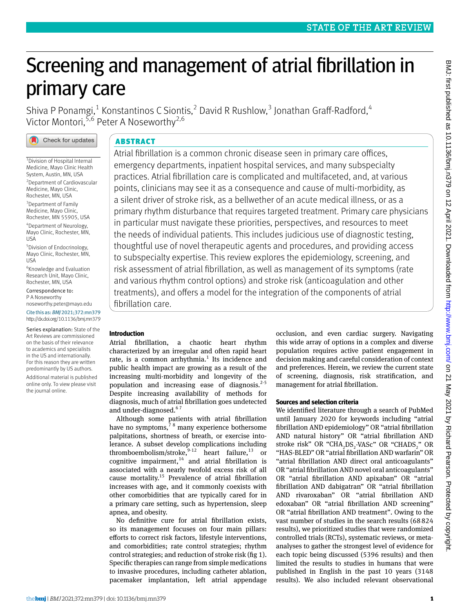# Screening and management of atrial fibrillation in primary care

Shiva P Ponamgi,<sup>1</sup> Konstantinos C Siontis,<sup>2</sup> David R Rushlow,<sup>3</sup> Jonathan Graff-Radford,<sup>4</sup> Victor Montori, 5,6 Peter A Noseworthy<sup>2,6</sup>



1 Division of Hospital Internal Medicine, Mayo Clinic Health System, Austin, MN, USA 2 Department of Cardiovascular Medicine, Mayo Clinic, Rochester, MN, USA <sup>3</sup>Department of Family Medicine, Mayo Clinic, Rochester, MN 55905, USA 4 Department of Neurology, Mayo Clinic, Rochester, MN, USA 5 Division of Endocrinology, Mayo Clinic, Rochester, MN, USA

6 Knowledge and Evaluation Research Unit, Mayo Clinic, Rochester, MN, USA

Correspondence to: P A Noseworthy [noseworthy.peter@mayo.edu](mailto:noseworthy.peter@mayo.edu)

Cite this as: *BMJ* 2021;372:mn379 http://dx.doi.org/10.1136/bmj.mn379

Series explanation: State of the Art Reviews are commissioned on the basis of their relevance to academics and specialists in the US and internationally. For this reason they are written predominantly by US authors.

Additional material is published online only. To view please visit the journal online.

# ABSTRACT

Atrial fibrillation is a common chronic disease seen in primary care offices, emergency departments, inpatient hospital services, and many subspecialty practices. Atrial fibrillation care is complicated and multifaceted, and, at various points, clinicians may see it as a consequence and cause of multi-morbidity, as a silent driver of stroke risk, as a bellwether of an acute medical illness, or as a primary rhythm disturbance that requires targeted treatment. Primary care physicians in particular must navigate these priorities, perspectives, and resources to meet the needs of individual patients. This includes judicious use of diagnostic testing, thoughtful use of novel therapeutic agents and procedures, and providing access to subspecialty expertise. This review explores the epidemiology, screening, and risk assessment of atrial fibrillation, as well as management of its symptoms (rate and various rhythm control options) and stroke risk (anticoagulation and other treatments), and offers a model for the integration of the components of atrial fibrillation care.

# **Introduction**

Atrial fibrillation, a chaotic heart rhythm characterized by an irregular and often rapid heart rate, is a common arrhythmia. $1$  Its incidence and public health impact are growing as a result of the increasing multi-morbidity and longevity of the population and increasing ease of diagnosis. $2-5$ Despite increasing availability of methods for diagnosis, much of atrial fibrillation goes undetected and under-diagnosed.<sup>67</sup>

Although some patients with atrial fibrillation have no symptoms, $78$  many experience bothersome palpitations, shortness of breath, or exercise intolerance. A subset develop complications including thromboembolism/stroke,<sup>9-12</sup> heart failure,<sup>13</sup> or cognitive impairment, $14$  and atrial fibrillation is associated with a nearly twofold excess risk of all cause mortality.15 Prevalence of atrial fibrillation increases with age, and it commonly coexists with other comorbidities that are typically cared for in a primary care setting, such as hypertension, sleep apnea, and obesity.

No definitive cure for atrial fibrillation exists, so its management focuses on four main pillars: efforts to correct risk factors, lifestyle interventions, and comorbidities; rate control strategies; rhythm control strategies; and reduction of stroke risk (fig 1). Specific therapies can range from simple medications to invasive procedures, including catheter ablation, pacemaker implantation, left atrial appendage occlusion, and even cardiac surgery. Navigating this wide array of options in a complex and diverse population requires active patient engagement in decision making and careful consideration of context and preferences. Herein, we review the current state of screening, diagnosis, risk stratification, and management for atrial fibrillation.

# **Sources and selection criteria**

We identified literature through a search of PubMed until January 2020 for keywords including "atrial fibrillation AND epidemiology" OR "atrial fibrillation AND natural history" OR "atrial fibrillation AND stroke risk" OR "CHA<sub>2</sub>DS<sub>2</sub>-VASc" OR "CHADS<sub>2</sub>" OR "HAS-BLED" OR "atrial fibrillation AND warfarin" OR "atrial fibrillation AND direct oral anticoagulants" OR "atrial fibrillation AND novel oral anticoagulants" OR "atrial fibrillation AND apixaban" OR "atrial fibrillation AND dabigatran" OR "atrial fibrillation AND rivaroxaban" OR "atrial fibrillation AND edoxaban" OR "atrial fibrillation AND screening" OR "atrial fibrillation AND treatment". Owing to the vast number of studies in the search results (68824 results), we prioritized studies that were randomized controlled trials (RCTs), systematic reviews, or metaanalyses to gather the strongest level of evidence for each topic being discussed (5396 results) and then limited the results to studies in humans that were published in English in the past 10 years (3148 results). We also included relevant observational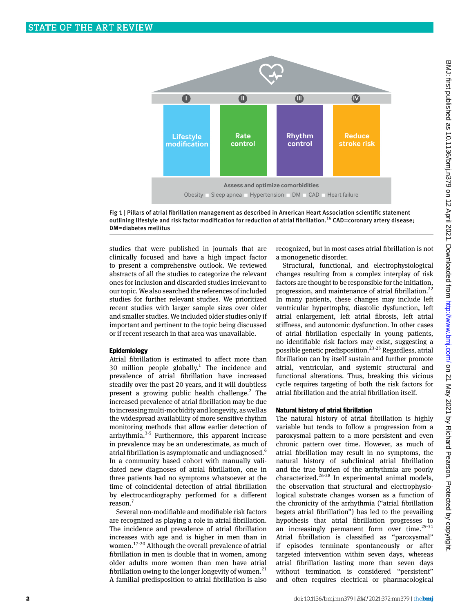

Fig 1 | Pillars of atrial fibrillation management as described in American Heart Association scientific statement outlining lifestyle and risk factor modification for reduction of atrial fibrillation.<sup>16</sup> CAD=coronary artery disease; DM=diabetes mellitus

studies that were published in journals that are clinically focused and have a high impact factor to present a comprehensive outlook. We reviewed abstracts of all the studies to categorize the relevant ones for inclusion and discarded studies irrelevant to our topic. We also searched the references of included studies for further relevant studies. We prioritized recent studies with larger sample sizes over older and smaller studies. We included older studies only if important and pertinent to the topic being discussed or if recent research in that area was unavailable.

#### **Epidemiology**

Atrial fibrillation is estimated to affect more than 30 million people globally.<sup>1</sup> The incidence and prevalence of atrial fibrillation have increased steadily over the past 20 years, and it will doubtless present a growing public health challenge.<sup>2</sup> The increased prevalence of atrial fibrillation may be due to increasing multi-morbidity and longevity, as well as the widespread availability of more sensitive rhythm monitoring methods that allow earlier detection of arrhythmia.<sup>3-5</sup> Furthermore, this apparent increase in prevalence may be an underestimate, as much of atrial fibrillation is asymptomatic and undiagnosed.<sup>6</sup> In a community based cohort with manually validated new diagnoses of atrial fibrillation, one in three patients had no symptoms whatsoever at the time of coincidental detection of atrial fibrillation by electrocardiography performed for a different reason.<sup>7</sup>

Several non-modifiable and modifiable risk factors are recognized as playing a role in atrial fibrillation. The incidence and prevalence of atrial fibrillation increases with age and is higher in men than in women.17-20 Although the overall prevalence of atrial fibrillation in men is double that in women, among older adults more women than men have atrial fibrillation owing to the longer longevity of women.<sup>21</sup> A familial predisposition to atrial fibrillation is also recognized, but in most cases atrial fibrillation is not a monogenetic disorder.

Structural, functional, and electrophysiological changes resulting from a complex interplay of risk factors are thought to be responsible for the initiation, progression, and maintenance of atrial fibrillation.<sup>22</sup> In many patients, these changes may include left ventricular hypertrophy, diastolic dysfunction, left atrial enlargement, left atrial fibrosis, left atrial stiffness, and autonomic dysfunction. In other cases of atrial fibrillation especially in young patients, no identifiable risk factors may exist, suggesting a possible genetic predisposition.<sup>23-25</sup> Regardless, atrial fibrillation can by itself sustain and further promote atrial, ventricular, and systemic structural and functional alterations. Thus, breaking this vicious cycle requires targeting of both the risk factors for atrial fibrillation and the atrial fibrillation itself.

#### **Natural history of atrial fibrillation**

The natural history of atrial fibrillation is highly variable but tends to follow a progression from a paroxysmal pattern to a more persistent and even chronic pattern over time. However, as much of atrial fibrillation may result in no symptoms, the natural history of subclinical atrial fibrillation and the true burden of the arrhythmia are poorly characterized.26-28 In experimental animal models, the observation that structural and electrophysiological substrate changes worsen as a function of the chronicity of the arrhythmia ("atrial fibrillation begets atrial fibrillation") has led to the prevailing hypothesis that atrial fibrillation progresses to an increasingly permanent form over time.<sup>29-31</sup> Atrial fibrillation is classified as "paroxysmal" if episodes terminate spontaneously or after targeted intervention within seven days, whereas atrial fibrillation lasting more than seven days without termination is considered "persistent" and often requires electrical or pharmacological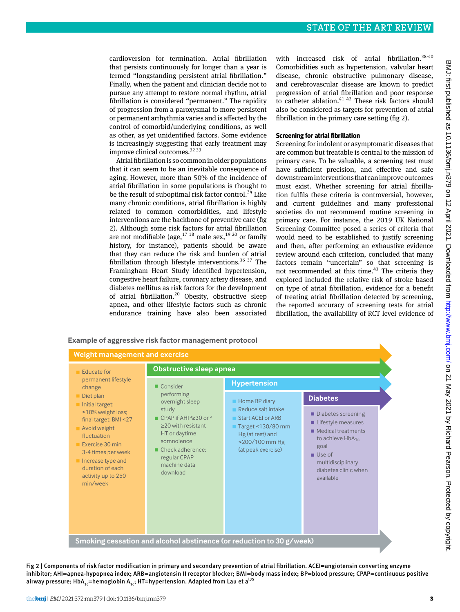cardioversion for termination. Atrial fibrillation that persists continuously for longer than a year is termed "longstanding persistent atrial fibrillation." Finally, when the patient and clinician decide not to pursue any attempt to restore normal rhythm, atrial fibrillation is considered "permanent." The rapidity of progression from a paroxysmal to more persistent or permanent arrhythmia varies and is affected by the control of comorbid/underlying conditions, as well as other, as yet unidentified factors. Some evidence is increasingly suggesting that early treatment may improve clinical outcomes.<sup>32 33</sup>

Atrial fibrillation is so common in older populations that it can seem to be an inevitable consequence of aging. However, more than 50% of the incidence of atrial fibrillation in some populations is thought to be the result of suboptimal risk factor control.<sup>34</sup> Like many chronic conditions, atrial fibrillation is highly related to common comorbidities, and lifestyle interventions are the backbone of preventive care (fig 2). Although some risk factors for atrial fibrillation are not modifiable (age,  $1718$  male sex,  $1920$  or family history, for instance), patients should be aware that they can reduce the risk and burden of atrial fibrillation through lifestyle interventions.<sup>36 37</sup> The Framingham Heart Study identified hypertension, congestive heart failure, coronary artery disease, and diabetes mellitus as risk factors for the development of atrial fibrillation.<sup>20</sup> Obesity, obstructive sleep apnea, and other lifestyle factors such as chronic endurance training have also been associated

with increased risk of atrial fibrillation.<sup>38-40</sup> Comorbidities such as hypertension, valvular heart disease, chronic obstructive pulmonary disease, and cerebrovascular disease are known to predict progression of atrial fibrillation and poor response to catheter ablation. $4142$  These risk factors should also be considered as targets for prevention of atrial fibrillation in the primary care setting (fig 2).

#### **Screening for atrial fibrillation**

Screening for indolent or asymptomatic diseases that are common but treatable is central to the mission of primary care. To be valuable, a screening test must have sufficient precision, and effective and safe downstream interventions that can improve outcomes must exist. Whether screening for atrial fibrillation fulfils these criteria is controversial, however, and current guidelines and many professional societies do not recommend routine screening in primary care. For instance, the 2019 UK National Screening Committee posed a series of criteria that would need to be established to justify screening and then, after performing an exhaustive evidence review around each criterion, concluded that many factors remain "uncertain" so that screening is not recommended at this time.<sup>43</sup> The criteria they explored included the relative risk of stroke based on type of atrial fibrillation, evidence for a benefit of treating atrial fibrillation detected by screening, the reported accuracy of screening tests for atrial fibrillation, the availability of RCT level evidence of

#### Smoking cessation and alcohol abstinence (or reduction to 30 g/week)  $F$ *ducate for* **Dermanent lifestyle** change  $Diet$ *plan* **lnitial target:** >10% weight loss; final target: BMI <27 *Avoid* weight fluctuation *Exercise* 30 min 3-4 times per week **Increase type and** duration of each activity up to 250 *min/week* **Weight management and exercise** *Consider* performing overnight sleep study ■ CPAP if AHI<sup>3</sup> ≥ 30 or<sup>3</sup> ≥20 with resistant *HT* or davtime somnolence **• Check adherence;** regular CPAP machine data download **Obstructive sleep apnea Home BP diary Reduce salt intake Start ACEI or ARB**  $Target < 130/80$  mm Hg (at rest) and <200/100 mm Hg (at peak exercise)  $H$ *ypertension*  $\blacksquare$  Diabetes screening  $\blacksquare$  Lifestyle measures  $\blacksquare$  Medical treatments to achieve HbA<sub>1c</sub> *JRDO*  $\blacksquare$  Use of multidisciplinary diabetes clinic when available **Diabetes**

Fig 2 | Components of risk factor modification in primary and secondary prevention of atrial fibrillation. ACEI=angiotensin converting enzyme inhibitor; AHI=apnea-hypopnea index; ARB=angiotensin II receptor blocker; BMI=body mass index; BP=blood pressure; CPAP=continuous positive airway pressure; HbA<sub>1c</sub>=hemoglobin A<sub>1c</sub>; HT=hypertension. Adapted from Lau et a<sup>135</sup>

#### **Example of aggressive risk factor management protocol**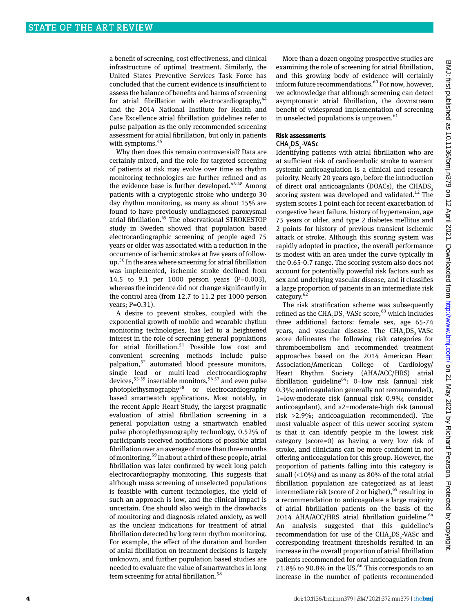a benefit of screening, cost effectiveness, and clinical infrastructure of optimal treatment. Similarly, the United States Preventive Services Task Force has concluded that the current evidence is insufficient to assess the balance of benefits and harms of screening for atrial fibrillation with electrocardiography,  $44$ and the 2014 National Institute for Health and Care Excellence atrial fibrillation guidelines refer to pulse palpation as the only recommended screening assessment for atrial fibrillation, but only in patients with symptoms.<sup>45</sup>

Why then does this remain controversial? Data are certainly mixed, and the role for targeted screening of patients at risk may evolve over time as rhythm monitoring technologies are further refined and as the evidence base is further developed. $46-48$  Among patients with a cryptogenic stroke who undergo 30 day rhythm monitoring, as many as about 15% are found to have previously undiagnosed paroxysmal atrial fibrillation.49 The observational STROKESTOP study in Sweden showed that population based electrocardiographic screening of people aged 75 years or older was associated with a reduction in the occurrence of ischemic strokes at five years of followup.<sup>50</sup> In the area where screening for atrial fibrillation was implemented, ischemic stroke declined from 14.5 to 9.1 per 1000 person years (P=0.003), whereas the incidence did not change significantly in the control area (from 12.7 to 11.2 per 1000 person years; P=0.31).

A desire to prevent strokes, coupled with the exponential growth of mobile and wearable rhythm monitoring technologies, has led to a heightened interest in the role of screening general populations for atrial fibrillation.<sup>51</sup> Possible low cost and convenient screening methods include pulse palpation,<sup>52</sup> automated blood pressure monitors, single lead or multi-lead electrocardiography devices,  $53-55$  insertable monitors,  $56-57$  and even pulse photoplethysmography<sup>58</sup> or electrocardiography based smartwatch applications. Most notably, in the recent Apple Heart Study, the largest pragmatic evaluation of atrial fibrillation screening in a general population using a smartwatch enabled pulse photoplethysmography technology, 0.52% of participants received notifications of possible atrial fibrillation over an average of more than three months of monitoring.59 In about a third of these people, atrial fibrillation was later confirmed by week long patch electrocardiography monitoring. This suggests that although mass screening of unselected populations is feasible with current technologies, the yield of such an approach is low, and the clinical impact is uncertain. One should also weigh in the drawbacks of monitoring and diagnosis related anxiety, as well as the unclear indications for treatment of atrial fibrillation detected by long term rhythm monitoring. For example, the effect of the duration and burden of atrial fibrillation on treatment decisions is largely unknown, and further population based studies are needed to evaluate the value of smartwatches in long term screening for atrial fibrillation.<sup>58</sup>

More than a dozen ongoing prospective studies are examining the role of screening for atrial fibrillation, and this growing body of evidence will certainly inform future recommendations.<sup>60</sup> For now, however, we acknowledge that although screening can detect asymptomatic atrial fibrillation, the downstream benefit of widespread implementation of screening in unselected populations is unproven. $61$ 

#### **Risk assessments**

### $\mathsf{CHA}_{\mathsf{2}}\mathsf{DS}_{\mathsf{2}}\text{-}\mathsf{VASc}$

Identifying patients with atrial fibrillation who are at sufficient risk of cardioembolic stroke to warrant systemic anticoagulation is a clinical and research priority. Nearly 20 years ago, before the introduction of direct oral anticoagulants (DOACs), the CHADS, scoring system was developed and validated.<sup>12</sup> The system scores 1 point each for recent exacerbation of congestive heart failure, history of hypertension, age 75 years or older, and type 2 diabetes mellitus and 2 points for history of previous transient ischemic attack or stroke. Although this scoring system was rapidly adopted in practice, the overall performance is modest with an area under the curve typically in the 0.65-0.7 range. The scoring system also does not account for potentially powerful risk factors such as sex and underlying vascular disease, and it classifies a large proportion of patients in an intermediate risk category.<sup>62</sup>

The risk stratification scheme was subsequently refined as the  $\text{CHA}_{2}\text{DS}_{2}\text{-}\text{VASC score},^{63}$  which includes three additional factors: female sex, age 65-74 years, and vascular disease. The  $\text{CHA}_{2}\text{DS}_{2}\text{-}\text{VASC}$ score delineates the following risk categories for thromboembolism and recommended treatment approaches based on the 2014 American Heart Association/American College of Cardiology/ Heart Rhythm Society (AHA/ACC/HRS) atrial fibrillation guideline<sup>64</sup>: 0=low risk (annual risk 0.3%; anticoagulation generally not recommended), 1=low-moderate risk (annual risk 0.9%; consider anticoagulant), and ≥2=moderate-high risk (annual risk >2.9%; anticoagulation recommended). The most valuable aspect of this newer scoring system is that it can identify people in the lowest risk category (score=0) as having a very low risk of stroke, and clinicians can be more confident in not offering anticoagulation for this group. However, the proportion of patients falling into this category is small (<10%) and as many as 80% of the total atrial fibrillation population are categorized as at least intermediate risk (score of 2 or higher),  $65$  resulting in a recommendation to anticoagulate a large majority of atrial fibrillation patients on the basis of the 2014 AHA/ACC/HRS atrial fibrillation guideline.<sup>64</sup> An analysis suggested that this guideline's recommendation for use of the  $CHA<sub>2</sub>DS<sub>2</sub>$ -VASc and corresponding treatment thresholds resulted in an increase in the overall proportion of atrial fibrillation patients recommended for oral anticoagulation from 71.8% to 90.8% in the US. $^{66}$  This corresponds to an increase in the number of patients recommended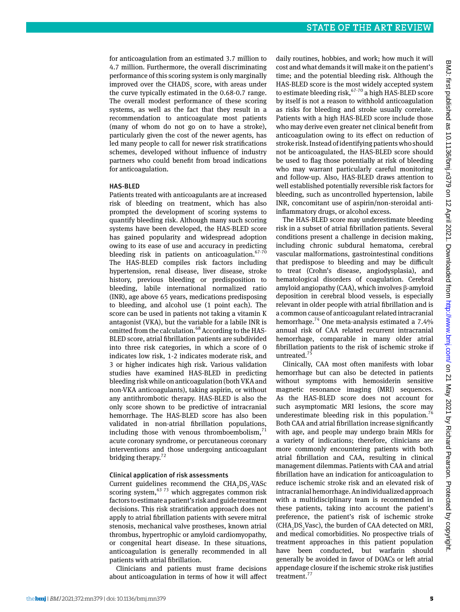for anticoagulation from an estimated 3.7 million to 4.7 million. Furthermore, the overall discriminating performance of this scoring system is only marginally improved over the CHADS<sub>2</sub> score, with areas under the curve typically estimated in the 0.68-0.7 range. The overall modest performance of these scoring systems, as well as the fact that they result in a recommendation to anticoagulate most patients (many of whom do not go on to have a stroke), particularly given the cost of the newer agents, has led many people to call for newer risk stratifications schemes, developed without influence of industry partners who could benefit from broad indications for anticoagulation.

#### HAS-BLED

Patients treated with anticoagulants are at increased risk of bleeding on treatment, which has also prompted the development of scoring systems to quantify bleeding risk. Although many such scoring systems have been developed, the HAS-BLED score has gained popularity and widespread adoption owing to its ease of use and accuracy in predicting bleeding risk in patients on anticoagulation. $67-70$ The HAS-BLED compiles risk factors including hypertension, renal disease, liver disease, stroke history, previous bleeding or predisposition to bleeding, labile international normalized ratio (INR), age above 65 years, medications predisposing to bleeding, and alcohol use (1 point each). The score can be used in patients not taking a vitamin K antagonist (VKA), but the variable for a labile INR is omitted from the calculation.<sup>68</sup> According to the HAS-BLED score, atrial fibrillation patients are subdivided into three risk categories, in which a score of 0 indicates low risk, 1-2 indicates moderate risk, and 3 or higher indicates high risk. Various validation studies have examined HAS-BLED in predicting bleeding risk while on anticoagulation (both VKA and non-VKA anticoagulants), taking aspirin, or without any antithrombotic therapy. HAS-BLED is also the only score shown to be predictive of intracranial hemorrhage. The HAS-BLED score has also been validated in non-atrial fibrillation populations, including those with venous thromboembolism, $<sup>71</sup>$ </sup> acute coronary syndrome, or percutaneous coronary interventions and those undergoing anticoagulant bridging therapy.<sup>72</sup>

#### Clinical application of risk assessments

Current guidelines recommend the  $CHA_2DS_2$ -VASc scoring system,  $6373$  which aggregates common risk factors to estimate a patient's risk and guide treatment decisions. This risk stratification approach does not apply to atrial fibrillation patients with severe mitral stenosis, mechanical valve prostheses, known atrial thrombus, hypertrophic or amyloid cardiomyopathy, or congenital heart disease. In these situations, anticoagulation is generally recommended in all patients with atrial fibrillation.

Clinicians and patients must frame decisions about anticoagulation in terms of how it will affect

daily routines, hobbies, and work; how much it will cost and what demands it will make it on the patient's time; and the potential bleeding risk. Although the HAS-BLED score is the most widely accepted system to estimate bleeding risk, $67-70$  a high HAS-BLED score by itself is not a reason to withhold anticoagulation as risks for bleeding and stroke usually correlate. Patients with a high HAS-BLED score include those who may derive even greater net clinical benefit from anticoagulation owing to its effect on reduction of stroke risk. Instead of identifying patients who should not be anticoagulated, the HAS-BLED score should be used to flag those potentially at risk of bleeding who may warrant particularly careful monitoring and follow-up. Also, HAS-BLED draws attention to well established potentially reversible risk factors for bleeding, such as uncontrolled hypertension, labile INR, concomitant use of aspirin/non-steroidal antiinflammatory drugs, or alcohol excess.

The HAS-BLED score may underestimate bleeding risk in a subset of atrial fibrillation patients. Several conditions present a challenge in decision making, including chronic subdural hematoma, cerebral vascular malformations, gastrointestinal conditions that predispose to bleeding and may be difficult to treat (Crohn's disease, angiodysplasia), and hematological disorders of coagulation. Cerebral amyloid angiopathy (CAA), which involves β-amyloid deposition in cerebral blood vessels, is especially relevant in older people with atrial fibrillation and is a common cause of anticoagulant related intracranial hemorrhage.74 One meta-analysis estimated a 7.4% annual risk of CAA related recurrent intracranial hemorrhage, comparable in many older atrial fibrillation patients to the risk of ischemic stroke if untreated.<sup>7</sup>

Clinically, CAA most often manifests with lobar hemorrhage but can also be detected in patients without symptoms with hemosiderin sensitive magnetic resonance imaging (MRI) sequences. As the HAS-BLED score does not account for such asymptomatic MRI lesions, the score may underestimate bleeding risk in this population.<sup>76</sup> Both CAA and atrial fibrillation increase significantly with age, and people may undergo brain MRIs for a variety of indications; therefore, clinicians are more commonly encountering patients with both atrial fibrillation and CAA, resulting in clinical management dilemmas. Patients with CAA and atrial fibrillation have an indication for anticoagulation to reduce ischemic stroke risk and an elevated risk of intracranial hemorrhage. An individualized approach with a multidisciplinary team is recommended in these patients, taking into account the patient's preference, the patient's risk of ischemic stroke  $(CHA<sub>2</sub>DS<sub>2</sub> Vasc)$ , the burden of CAA detected on MRI, and medical comorbidities. No prospective trials of treatment approaches in this patient population have been conducted, but warfarin should generally be avoided in favor of DOACs or left atrial appendage closure if the ischemic stroke risk justifies treatment.<sup>77</sup>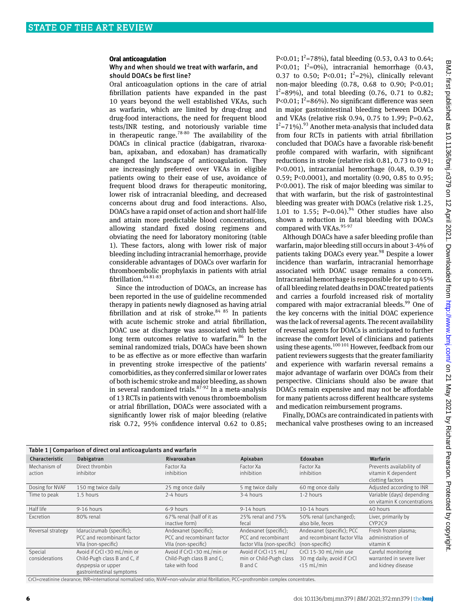#### **Oral anticoagulation**

#### Why and when should we treat with warfarin, and should DOACs be first line?

Oral anticoagulation options in the care of atrial fibrillation patients have expanded in the past 10 years beyond the well established VKAs, such as warfarin, which are limited by drug-drug and drug-food interactions, the need for frequent blood tests/INR testing, and notoriously variable time in therapeutic range.<sup>78-80</sup> The availability of the DOACs in clinical practice (dabigatran, rivaroxaban, apixaban, and edoxaban) has dramatically changed the landscape of anticoagulation. They are increasingly preferred over VKAs in eligible patients owing to their ease of use, avoidance of frequent blood draws for therapeutic monitoring, lower risk of intracranial bleeding, and decreased concerns about drug and food interactions. Also, DOACs have a rapid onset of action and short half-life and attain more predictable blood concentrations, allowing standard fixed dosing regimens and obviating the need for laboratory monitoring (table 1). These factors, along with lower risk of major bleeding including intracranial hemorrhage, provide considerable advantages of DOACs over warfarin for thromboembolic prophylaxis in patients with atrial fibrillation. 64 81-83

Since the introduction of DOACs, an increase has been reported in the use of guideline recommended therapy in patients newly diagnosed as having atrial fibrillation and at risk of stroke. $84 85$  In patients with acute ischemic stroke and atrial fibrillation, DOAC use at discharge was associated with better long term outcomes relative to warfarin. $86$  In the seminal randomized trials, DOACs have been shown to be as effective as or more effective than warfarin in preventing stroke irrespective of the patients' comorbidities, as they conferred similar or lower rates of both ischemic stroke and major bleeding, as shown in several randomized trials.<sup>87-92</sup> In a meta-analysis of 13 RCTs in patients with venous thromboembolism or atrial fibrillation, DOACs were associated with a significantly lower risk of major bleeding (relative risk 0.72, 95% confidence interval 0.62 to 0.85;

P<0.01;  $I^2$ =78%), fatal bleeding (0.53, 0.43 to 0.64; P<0.01;  $I^2=0\%$ ), intracranial hemorrhage (0.43, 0.37 to 0.50; P<0.01;  $I^2=2\%$ ), clinically relevant non-major bleeding (0.78, 0.68 to 0.90; P<0.01;  $I^2$ =89%), and total bleeding (0.76, 0.71 to 0.82; P<0.01;  $I^2$ =86%). No significant difference was seen in major gastrointestinal bleeding between DOACs and VKAs (relative risk 0.94, 0.75 to 1.99; P=0.62,  $I^2$ =71%).<sup>93</sup> Another meta-analysis that included data from four RCTs in patients with atrial fibrillation concluded that DOACs have a favorable risk-benefit profile compared with warfarin, with significant reductions in stroke (relative risk 0.81, 0.73 to 0.91; P<0.001), intracranial hemorrhage (0.48, 0.39 to 0.59; P<0.0001), and mortality (0.90, 0.85 to 0.95; P<0.001). The risk of major bleeding was similar to that with warfarin, but the risk of gastrointestinal bleeding was greater with DOACs (relative risk 1.25, 1.01 to 1.55; P=0.04).<sup>94</sup> Other studies have also shown a reduction in fatal bleeding with DOACs compared with VKAs.<sup>95-97</sup>

Although DOACs have a safer bleeding profile than warfarin, major bleeding still occurs in about 3-4% of patients taking DOACs every year.<sup>98</sup> Despite a lower incidence than warfarin, intracranial hemorrhage associated with DOAC usage remains a concern. Intracranial hemorrhage is responsible for up to 45% of all bleeding related deaths in DOAC treated patients and carries a fourfold increased risk of mortality compared with major extracranial bleeds.<sup>99</sup> One of the key concerns with the initial DOAC experience was the lack of reversal agents. The recent availability of reversal agents for DOACs is anticipated to further increase the comfort level of clinicians and patients using these agents.<sup>100 101</sup> However, feedback from our patient reviewers suggests that the greater familiarity and experience with warfarin reversal remains a major advantage of warfarin over DOACs from their perspective. Clinicians should also be aware that DOACs remain expensive and may not be affordable for many patients across different healthcare systems and medication reimbursement programs.

Finally, DOACs are contraindicated in patients with mechanical valve prostheses owing to an increased

| Table 1   Comparison of direct oral anticoagulants and warfarin |                              |                             |                            |                             |                             |  |  |  |
|-----------------------------------------------------------------|------------------------------|-----------------------------|----------------------------|-----------------------------|-----------------------------|--|--|--|
| Characteristic                                                  | Dabigatran                   | Rivaroxaban                 | Apixaban                   | Edoxaban                    | Warfarin                    |  |  |  |
| Mechanism of                                                    | Direct thrombin              | Factor Xa                   | Factor Xa                  | Factor Xa                   | Prevents availability of    |  |  |  |
| action                                                          | inhibitor                    | inhibition                  | inhibition                 | inhibition                  | vitamin K dependent         |  |  |  |
|                                                                 |                              |                             |                            |                             | clotting factors            |  |  |  |
| Dosing for NVAF                                                 | 150 mg twice daily           | 25 mg once daily            | 5 mg twice daily           | 60 mg once daily            | Adjusted according to INR   |  |  |  |
| Time to peak                                                    | 1.5 hours                    | 2-4 hours                   | 3-4 hours                  | 1-2 hours                   | Variable (days) depending   |  |  |  |
|                                                                 |                              |                             |                            |                             | on vitamin K concentrations |  |  |  |
| Half life                                                       | 9-16 hours                   | 6-9 hours                   | 9-14 hours                 | 10-14 hours                 | 40 hours                    |  |  |  |
| Excretion                                                       | 80% renal                    | 67% renal (half of it as    | 25% renal and 75%          | 50% renal (unchanged);      | Liver, primarily by         |  |  |  |
|                                                                 |                              | inactive form)              | fecal                      | also bile, feces            | CYP2C9                      |  |  |  |
| Reversal strategy                                               | Idarucizumab (specific);     | Andexanet (specific);       | Andexanet (specific);      | Andexanet (specific); PCC   | Fresh frozen plasma;        |  |  |  |
|                                                                 | PCC and recombinant factor   | PCC and recombinant factor  | PCC and recombinant        | and recombinant factor VIIa | administration of           |  |  |  |
|                                                                 | VIIa (non-specific)          | VIIa (non-specific)         | factor VIIa (non-specific) | (non-specific)              | vitamin K                   |  |  |  |
| Special                                                         | Avoid if CrCl <30 mL/min or  | Avoid if CrCl <30 mL/min or | Avoid if CrCl <15 mL/      | CrCl 15-30 mL/min use       | Careful monitoring          |  |  |  |
| considerations                                                  | Child-Pugh class B and C, if | Child-Pugh class B and C;   | min or Child-Pugh class    | 30 mg daily; avoid if CrCl  | warranted in severe liver   |  |  |  |
|                                                                 | dyspepsia or upper           | take with food              | B and C                    | $\langle 15 \text{ mL/min}$ | and kidney disease          |  |  |  |
|                                                                 | gastrointestinal symptoms    |                             |                            |                             |                             |  |  |  |

CrCl=creatinine clearance; INR=international normalized ratio; NVAF=non-valvular atrial fibrillation; PCC=prothrombin complex concentrates.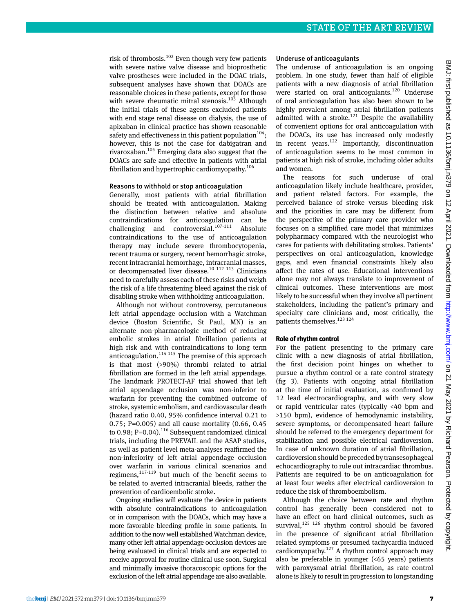risk of thrombosis. $102$  Even though very few patients with severe native valve disease and bioprosthetic valve prostheses were included in the DOAC trials, subsequent analyses have shown that DOACs are reasonable choices in these patients, except for those with severe rheumatic mitral stenosis.<sup>103</sup> Although the initial trials of these agents excluded patients with end stage renal disease on dialysis, the use of apixaban in clinical practice has shown reasonable safety and effectiveness in this patient population<sup>104</sup>; however, this is not the case for dabigatran and rivaroxaban.105 Emerging data also suggest that the DOACs are safe and effective in patients with atrial fibrillation and hypertrophic cardiomyopathy. $106$ 

#### Reasons to withhold or stop anticoagulation

Generally, most patients with atrial fibrillation should be treated with anticoagulation. Making the distinction between relative and absolute contraindications for anticoagulation can be challenging and controversial. $107-111$  Absolute contraindications to the use of anticoagulation therapy may include severe thrombocytopenia, recent trauma or surgery, recent hemorrhagic stroke, recent intracranial hemorrhage, intracranial masses, or decompensated liver disease.<sup>10 112 113</sup> Clinicians need to carefully assess each of these risks and weigh the risk of a life threatening bleed against the risk of disabling stroke when withholding anticoagulation.

Although not without controversy, percutaneous left atrial appendage occlusion with a Watchman device (Boston Scientific, St Paul, MN) is an alternate non-pharmacologic method of reducing embolic strokes in atrial fibrillation patients at high risk and with contraindications to long term anticoagulation. $114 115$  The premise of this approach is that most (>90%) thrombi related to atrial fibrillation are formed in the left atrial appendage. The landmark PROTECT-AF trial showed that left atrial appendage occlusion was non-inferior to warfarin for preventing the combined outcome of stroke, systemic embolism, and cardiovascular death (hazard ratio 0.40, 95% confidence interval 0.21 to 0.75; P=0.005) and all cause mortality (0.66, 0.45 to 0.98; P=0.04).<sup>116</sup> Subsequent randomized clinical trials, including the PREVAIL and the ASAP studies, as well as patient level meta-analyses reaffirmed the non-inferiority of left atrial appendage occlusion over warfarin in various clinical scenarios and regimens,117-119 but much of the benefit seems to be related to averted intracranial bleeds, rather the prevention of cardioembolic stroke.

Ongoing studies will evaluate the device in patients with absolute contraindications to anticoagulation or in comparison with the DOACs, which may have a more favorable bleeding profile in some patients. In addition to the now well established Watchman device, many other left atrial appendage occlusion devices are being evaluated in clinical trials and are expected to receive approval for routine clinical use soon. Surgical and minimally invasive thoracoscopic options for the exclusion of the left atrial appendage are also available.

#### Underuse of anticoagulants

The underuse of anticoagulation is an ongoing problem. In one study, fewer than half of eligible patients with a new diagnosis of atrial fibrillation were started on oral anticogulants.<sup>120</sup> Underuse of oral anticoagulation has also been shown to be highly prevalent among atrial fibrillation patients admitted with a stroke.<sup>121</sup> Despite the availability of convenient options for oral anticoagulation with the DOACs, its use has increased only modestly in recent years.122 Importantly, discontinuation of anticoagulation seems to be most common in patients at high risk of stroke, including older adults and women.

The reasons for such underuse of oral anticoagulation likely include healthcare, provider, and patient related factors. For example, the perceived balance of stroke versus bleeding risk and the priorities in care may be different from the perspective of the primary care provider who focuses on a simplified care model that minimizes polypharmacy compared with the neurologist who cares for patients with debilitating strokes. Patients' perspectives on oral anticoagulation, knowledge gaps, and even financial constraints likely also affect the rates of use. Educational interventions alone may not always translate to improvement of clinical outcomes. These interventions are most likely to be successful when they involve all pertinent stakeholders, including the patient's primary and specialty care clinicians and, most critically, the patients themselves.<sup>123 124</sup>

#### **Role of rhythm control**

For the patient presenting to the primary care clinic with a new diagnosis of atrial fibrillation, the first decision point hinges on whether to pursue a rhythm control or a rate control strategy (fig 3). Patients with ongoing atrial fibrillation at the time of initial evaluation, as confirmed by 12 lead electrocardiography, and with very slow or rapid ventricular rates (typically <40 bpm and >150 bpm), evidence of hemodynamic instability, severe symptoms, or decompensated heart failure should be referred to the emergency department for stabilization and possible electrical cardioversion. In case of unknown duration of atrial fibrillation, cardioversion should be preceded by transesophageal echocardiography to rule out intracardiac thrombus. Patients are required to be on anticoagulation for at least four weeks after electrical cardioversion to reduce the risk of thromboembolism.

Although the choice between rate and rhythm control has generally been considered not to have an effect on hard clinical outcomes, such as survival, $125$   $126$  rhythm control should be favored in the presence of significant atrial fibrillation related symptoms or presumed tachycardia induced cardiomyopathy.<sup>127</sup> A rhythm control approach may also be preferable in younger (<65 years) patients with paroxysmal atrial fibrillation, as rate control alone is likely to result in progression to longstanding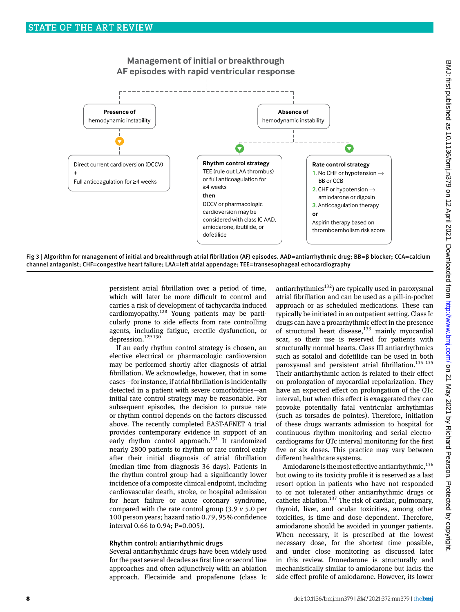

Fig 3 | Algorithm for management of initial and breakthrough atrial fibrillation (AF) episodes. AAD=antiarrhythmic drug; BB=β blocker; CCA=calcium channel antagonist; CHF=congestive heart failure; LAA=left atrial appendage; TEE=transesophageal echocardiography

persistent atrial fibrillation over a period of time, which will later be more difficult to control and carries a risk of development of tachycardia induced cardiomyopathy.<sup>128</sup> Young patients may be particularly prone to side effects from rate controlling agents, including fatigue, erectile dysfunction, or depression.<sup>129 130</sup>

If an early rhythm control strategy is chosen, an elective electrical or pharmacologic cardioversion may be performed shortly after diagnosis of atrial fibrillation. We acknowledge, however, that in some cases—for instance, if atrial fibrillation is incidentally detected in a patient with severe comorbidities—an initial rate control strategy may be reasonable. For subsequent episodes, the decision to pursue rate or rhythm control depends on the factors discussed above. The recently completed EAST-AFNET 4 trial provides contemporary evidence in support of an early rhythm control approach.<sup>131</sup> It randomized nearly 2800 patients to rhythm or rate control early after their initial diagnosis of atrial fibrillation (median time from diagnosis 36 days). Patients in the rhythm control group had a significantly lower incidence of a composite clinical endpoint, including cardiovascular death, stroke, or hospital admission for heart failure or acute coronary syndrome, compared with the rate control group (3.9 *v* 5.0 per 100 person years; hazard ratio 0.79, 95% confidence interval 0.66 to 0.94; P=0.005).

#### Rhythm control: antiarrhythmic drugs

Several antiarrhythmic drugs have been widely used for the past several decades as first line or second line approaches and often adjunctively with an ablation approach. Flecainide and propafenone (class Ic

antiarrhythmics<sup>132</sup>) are typically used in paroxysmal atrial fibrillation and can be used as a pill-in-pocket approach or as scheduled medications. These can typically be initiated in an outpatient setting. Class Ic drugs can have a proarrhythmic effect in the presence of structural heart disease, $133$  mainly myocardial scar, so their use is reserved for patients with structurally normal hearts. Class III antiarrhythmics such as sotalol and dofetilide can be used in both paroxysmal and persistent atrial fibrillation.<sup>134 135</sup> Their antiarrhythmic action is related to their effect on prolongation of myocardial repolarization. They have an expected effect on prolongation of the QTc interval, but when this effect is exaggerated they can provoke potentially fatal ventricular arrhythmias (such as torsades de pointes). Therefore, initiation of these drugs warrants admission to hospital for continuous rhythm monitoring and serial electrocardiograms for QTc interval monitoring for the first five or six doses. This practice may vary between different healthcare systems.

Amiodarone is the most effective antiarrhythmic. $136$ but owing to its toxicity profile it is reserved as a last resort option in patients who have not responded to or not tolerated other antiarrhythmic drugs or catheter ablation. $137$  The risk of cardiac, pulmonary, thyroid, liver, and ocular toxicities, among other toxicities, is time and dose dependent. Therefore, amiodarone should be avoided in younger patients. When necessary, it is prescribed at the lowest necessary dose, for the shortest time possible, and under close monitoring as discussed later in this review. Dronedarone is structurally and mechanistically similar to amiodarone but lacks the side effect profile of amiodarone. However, its lower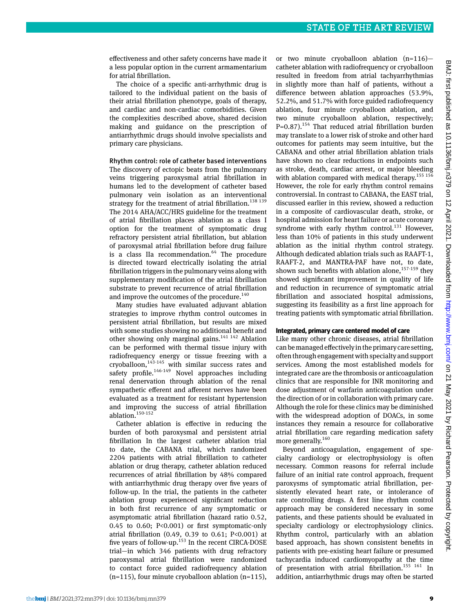effectiveness and other safety concerns have made it a less popular option in the current armamentarium for atrial fibrillation.

The choice of a specific anti-arrhythmic drug is tailored to the individual patient on the basis of their atrial fibrillation phenotype, goals of therapy, and cardiac and non-cardiac comorbidities. Given the complexities described above, shared decision making and guidance on the prescription of antiarrhythmic drugs should involve specialists and primary care physicians.

#### Rhythm control: role of catheter based interventions

The discovery of ectopic beats from the pulmonary veins triggering paroxysmal atrial fibrillation in humans led to the development of catheter based pulmonary vein isolation as an interventional strategy for the treatment of atrial fibrillation.<sup>138 139</sup> The 2014 AHA/ACC/HRS guideline for the treatment of atrial fibrillation places ablation as a class I option for the treatment of symptomatic drug refractory persistent atrial fibrillation, but ablation of paroxysmal atrial fibrillation before drug failure is a class IIa recommendation. $64$  The procedure is directed toward electrically isolating the atrial fibrillation triggers in the pulmonary veins along with supplementary modification of the atrial fibrillation substrate to prevent recurrence of atrial fibrillation and improve the outcomes of the procedure.<sup>140</sup>

Many studies have evaluated adjuvant ablation strategies to improve rhythm control outcomes in persistent atrial fibrillation, but results are mixed with some studies showing no additional benefit and other showing only marginal gains.<sup>141 142</sup> Ablation can be performed with thermal tissue injury with radiofrequency energy or tissue freezing with a cryoballoon, $143-145$  with similar success rates and safety profile.<sup>146-149</sup> Novel approaches including renal denervation through ablation of the renal sympathetic efferent and afferent nerves have been evaluated as a treatment for resistant hypertension and improving the success of atrial fibrillation ablation.<sup>150-152</sup>

Catheter ablation is effective in reducing the burden of both paroxysmal and persistent atrial fibrillation In the largest catheter ablation trial to date, the CABANA trial, which randomized 2204 patients with atrial fibrillation to catheter ablation or drug therapy, catheter ablation reduced recurrences of atrial fibrillation by 48% compared with antiarrhythmic drug therapy over five years of follow-up. In the trial, the patients in the catheter ablation group experienced significant reduction in both first recurrence of any symptomatic or asymptomatic atrial fibrillation (hazard ratio 0.52, 0.45 to 0.60; P<0.001) or first symptomatic-only atrial fibrillation (0.49, 0.39 to 0.61; P<0.001) at five years of follow-up.153 In the recent CIRCA-DOSE trial—in which 346 patients with drug refractory paroxysmal atrial fibrillation were randomized to contact force guided radiofrequency ablation  $(n=115)$ , four minute cryoballoon ablation  $(n=115)$ ,

or two minute cryoballoon ablation (n=116) catheter ablation with radiofrequency or cryoballoon resulted in freedom from atrial tachyarrhythmias in slightly more than half of patients, without a difference between ablation approaches (53.9%, 52.2%, and 51.7% with force guided radiofrequency ablation, four minute cryoballoon ablation, and two minute cryoballoon ablation, respectively;  $P=0.87$ ).<sup>154</sup> That reduced atrial fibrillation burden may translate to a lower risk of stroke and other hard outcomes for patients may seem intuitive, but the CABANA and other atrial fibrillation ablation trials have shown no clear reductions in endpoints such as stroke, death, cardiac arrest, or major bleeding with ablation compared with medical therapy.<sup>155 156</sup> However, the role for early rhythm control remains controversial. In contrast to CABANA, the EAST trial, discussed earlier in this review, showed a reduction in a composite of cardiovascular death, stroke, or hospital admission for heart failure or acute coronary syndrome with early rhythm control.<sup>131</sup> However, less than 10% of patients in this study underwent ablation as the initial rhythm control strategy. Although dedicated ablation trials such as RAAFT-1, RAAFT-2, and MANTRA-PAF have not, to date, shown such benefits with ablation alone,  $157-159$  they showed significant improvement in quality of life and reduction in recurrence of symptomatic atrial fibrillation and associated hospital admissions, suggesting its feasibility as a first line approach for treating patients with symptomatic atrial fibrillation.

#### **Integrated, primary care centered model of care**

Like many other chronic diseases, atrial fibrillation can be managed effectively in the primary care setting, often through engagement with specialty and support services. Among the most established models for integrated care are the thrombosis or anticoagulation clinics that are responsible for INR monitoring and dose adjustment of warfarin anticoagulation under the direction of or in collaboration with primary care. Although the role for these clinics may be diminished with the widespread adoption of DOACs, in some instances they remain a resource for collaborative atrial fibrillation care regarding medication safety more generally.<sup>160</sup>

Beyond anticoagulation, engagement of specialty cardiology or electrophysiology is often necessary. Common reasons for referral include failure of an initial rate control approach, frequent paroxysms of symptomatic atrial fibrillation, persistently elevated heart rate, or intolerance of rate controlling drugs. A first line rhythm control approach may be considered necessary in some patients, and these patients should be evaluated in specialty cardiology or electrophysiology clinics. Rhythm control, particularly with an ablation based approach, has shown consistent benefits in patients with pre-existing heart failure or presumed tachycardia induced cardiomyopathy at the time of presentation with atrial fibrillation.<sup>155</sup> <sup>161</sup> In addition, antiarrhythmic drugs may often be started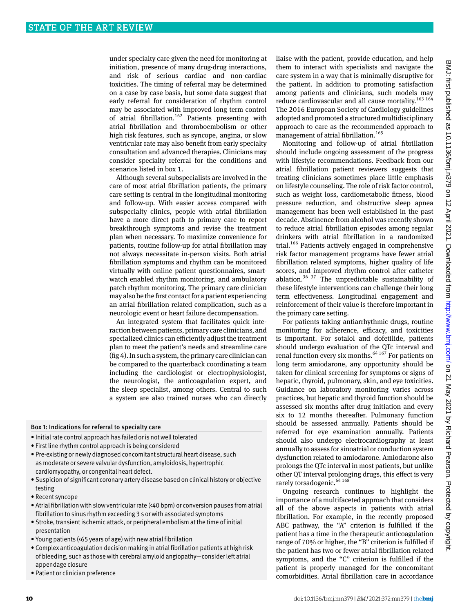under specialty care given the need for monitoring at initiation, presence of many drug-drug interactions, and risk of serious cardiac and non-cardiac toxicities. The timing of referral may be determined on a case by case basis, but some data suggest that early referral for consideration of rhythm control may be associated with improved long term control of atrial fibrillation.<sup>162</sup> Patients presenting with atrial fibrillation and thromboembolism or other high risk features, such as syncope, angina, or slow ventricular rate may also benefit from early specialty consultation and advanced therapies. Clinicians may consider specialty referral for the conditions and scenarios listed in box 1.

Although several subspecialists are involved in the care of most atrial fibrillation patients, the primary care setting is central in the longitudinal monitoring and follow-up. With easier access compared with subspecialty clinics, people with atrial fibrillation have a more direct path to primary care to report breakthrough symptoms and revise the treatment plan when necessary. To maximize convenience for patients, routine follow-up for atrial fibrillation may not always necessitate in-person visits. Both atrial fibrillation symptoms and rhythm can be monitored virtually with online patient questionnaires, smartwatch enabled rhythm monitoring, and ambulatory patch rhythm monitoring. The primary care clinician may also be the first contact for a patient experiencing an atrial fibrillation related complication, such as a neurologic event or heart failure decompensation.

An integrated system that facilitates quick interaction between patients, primary care clinicians, and specialized clinics can efficiently adjust the treatment plan to meet the patient's needs and streamline care (fig 4). In such a system, the primary care clinician can be compared to the quarterback coordinating a team including the cardiologist or electrophysiologist, the neurologist, the anticoagulation expert, and the sleep specialist, among others. Central to such a system are also trained nurses who can directly

#### Box 1: Indications for referral to specialty care

- • Initial rate control approach has failed or is not well tolerated
- First line rhythm control approach is being considered
- Pre-existing or newly diagnosed concomitant structural heart disease, such as moderate or severe valvular dysfunction, amyloidosis, hypertrophic cardiomyopathy, or congenital heart defect.
- • Suspicion of significant coronary artery disease based on clinical history or objective testing
- Recent syncope
- • Atrial fibrillation with slow ventricular rate (<40 bpm) or conversion pauses from atrial fibrillation to sinus rhythm exceeding 3 s or with associated symptoms
- • Stroke, transient ischemic attack, or peripheral embolism at the time of initial presentation
- • Young patients (<65 years of age) with new atrial fibrillation
- Complex anticoagulation decision making in atrial fibrillation patients at high risk of bleeding, such as those with cerebral amyloid angiopathy—consider left atrial appendage closure
- • Patient or clinician preference

liaise with the patient, provide education, and help them to interact with specialists and navigate the care system in a way that is minimally disruptive for the patient. In addition to promoting satisfaction among patients and clinicians, such models may reduce cardiovascular and all cause mortality.<sup>163</sup> 164 The 2016 European Society of Cardiology guidelines adopted and promoted a structured multidisciplinary approach to care as the recommended approach to management of atrial fibrillation.<sup>165</sup>

Monitoring and follow-up of atrial fibrillation should include ongoing assessment of the progress with lifestyle recommendations. Feedback from our atrial fibrillation patient reviewers suggests that treating clinicians sometimes place little emphasis on lifestyle counseling. The role of risk factor control, such as weight loss, cardiometabolic fitness, blood pressure reduction, and obstructive sleep apnea management has been well established in the past decade. Abstinence from alcohol was recently shown to reduce atrial fibrillation episodes among regular drinkers with atrial fibrillation in a randomized trial.<sup>166</sup> Patients actively engaged in comprehensive risk factor management programs have fewer atrial fibrillation related symptoms, higher quality of life scores, and improved rhythm control after catheter ablation.36 37 The unpredictable sustainability of these lifestyle interventions can challenge their long term effectiveness. Longitudinal engagement and reinforcement of their value is therefore important in the primary care setting.

For patients taking antiarrhythmic drugs, routine monitoring for adherence, efficacy, and toxicities is important. For sotalol and dofetilide, patients should undergo evaluation of the QTc interval and renal function every six months.<sup>64 167</sup> For patients on long term amiodarone, any opportunity should be taken for clinical screening for symptoms or signs of hepatic, thyroid, pulmonary, skin, and eye toxicities. Guidance on laboratory monitoring varies across practices, but hepatic and thyroid function should be assessed six months after drug initiation and every six to 12 months thereafter. Pulmonary function should be assessed annually. Patients should be referred for eye examination annually. Patients should also undergo electrocardiography at least annually to assess for sinoatrial or conduction system dysfunction related to amiodarone. Amiodarone also prolongs the QTc interval in most patients, but unlike other QT interval prolonging drugs, this effect is very rarely torsadogenic.<sup>64 168</sup>

Ongoing research continues to highlight the importance of a multifaceted approach that considers all of the above aspects in patients with atrial fibrillation. For example, in the recently proposed ABC pathway, the "A" criterion is fulfilled if the patient has a time in the therapeutic anticoagulation range of 70% or higher, the "B" criterion is fulfilled if the patient has two or fewer atrial fibrillation related symptoms, and the "C" criterion is fulfilled if the patient is properly managed for the concomitant comorbidities. Atrial fibrillation care in accordance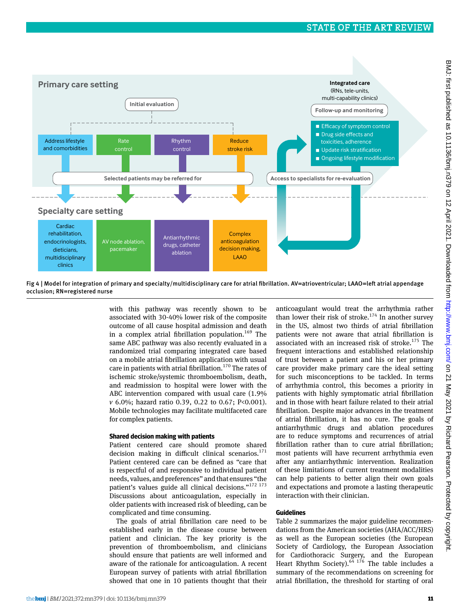

Fig 4 | Model for integration of primary and specialty/multidisciplinary care for atrial fibrillation. AV=atrioventricular; LAAO=left atrial appendage occlusion; RN=registered nurse

with this pathway was recently shown to be associated with 30-40% lower risk of the composite outcome of all cause hospital admission and death in a complex atrial fibrillation population.<sup>169</sup> The same ABC pathway was also recently evaluated in a randomized trial comparing integrated care based on a mobile atrial fibrillation application with usual care in patients with atrial fibrillation.<sup>170</sup> The rates of ischemic stroke/systemic thromboembolism, death, and readmission to hospital were lower with the ABC intervention compared with usual care (1.9% *v* 6.0%; hazard ratio 0.39, 0.22 to 0.67; P<0.001). Mobile technologies may facilitate multifaceted care for complex patients.

#### **Shared decision making with patients**

Patient centered care should promote shared decision making in difficult clinical scenarios. $171$ Patient centered care can be defined as "care that is respectful of and responsive to individual patient needs, values, and preferences" and that ensures "the patient's values guide all clinical decisions."<sup>172 173</sup> Discussions about anticoagulation, especially in older patients with increased risk of bleeding, can be complicated and time consuming.

The goals of atrial fibrillation care need to be established early in the disease course between patient and clinician. The key priority is the prevention of thromboembolism, and clinicians should ensure that patients are well informed and aware of the rationale for anticoagulation. A recent European survey of patients with atrial fibrillation showed that one in 10 patients thought that their anticoagulant would treat the arrhythmia rather than lower their risk of stroke.<sup>174</sup> In another survey in the US, almost two thirds of atrial fibrillation patients were not aware that atrial fibrillation is associated with an increased risk of stroke.<sup>175</sup> The frequent interactions and established relationship of trust between a patient and his or her primary care provider make primary care the ideal setting for such misconceptions to be tackled. In terms of arrhythmia control, this becomes a priority in patients with highly symptomatic atrial fibrillation and in those with heart failure related to their atrial fibrillation. Despite major advances in the treatment of atrial fibrillation, it has no cure. The goals of antiarrhythmic drugs and ablation procedures are to reduce symptoms and recurrences of atrial fibrillation rather than to cure atrial fibrillation; most patients will have recurrent arrhythmia even after any antiarrhythmic intervention. Realization of these limitations of current treatment modalities can help patients to better align their own goals and expectations and promote a lasting therapeutic interaction with their clinician.

#### **Guidelines**

Table 2 summarizes the major guideline recommendations from the American societies (AHA/ACC/HRS) as well as the European societies (the European Society of Cardiology, the European Association for Cardiothoracic Surgery, and the European Heart Rhythm Society). $64$  176 The table includes a summary of the recommendations on screening for atrial fibrillation, the threshold for starting of oral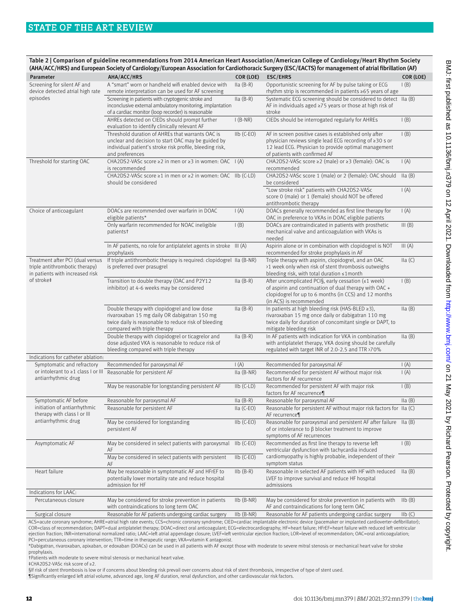|                                                                                                       |                                                                                                                                                                                       |                               | (AHA/ACC/HRS) and European Society of Cardiology/European Association for Cardiothoracic Surgery (ESC/EACTS) for management of atrial fibrillation (AF)                                                   |                                             |
|-------------------------------------------------------------------------------------------------------|---------------------------------------------------------------------------------------------------------------------------------------------------------------------------------------|-------------------------------|-----------------------------------------------------------------------------------------------------------------------------------------------------------------------------------------------------------|---------------------------------------------|
| Parameter                                                                                             | AHA/ACC/HRS                                                                                                                                                                           | COR (LOE)                     | <b>ESC/EHRS</b>                                                                                                                                                                                           | COR (LOE)                                   |
| Screening for silent AF and<br>device detected atrial high rate                                       | A "smart" worn or handheld wifi enabled device with<br>remote interpretation can be used for AF screening                                                                             | $Ila(B-R)$                    | Opportunistic screening for AF by pulse taking or ECG<br>rhythm strip is recommended in patients ≥65 years of age                                                                                         | $\mathsf{I}(\mathsf{B})$                    |
| episodes                                                                                              | Screening in patients with cryptogenic stroke and<br>inconclusive external ambulatory monitoring, implantation<br>of a cardiac monitor (loop recorder) is reasonable                  | $Ila(B-R)$                    | Systematic ECG screening should be considered to detect IIa (B)<br>AF in individuals aged $\geq$ 75 years or those at high risk of<br>stroke                                                              |                                             |
|                                                                                                       | AHREs detected on CIEDs should prompt further<br>evaluation to identify clinically relevant AF                                                                                        | $I(B-NR)$                     | CIEDs should be interrogated regularly for AHREs                                                                                                                                                          | $\mathsf{I}(\mathsf{B})$                    |
|                                                                                                       | Threshold duration of AHREs that warrants OAC is<br>unclear and decision to start OAC may be guided by<br>individual patient's stroke risk profile, bleeding risk,<br>and preferences | $I\vert b$ (C-EO)             | AF in screen positive cases is established only after<br>physician reviews single lead ECG recording of ≥30 s or<br>12 lead ECG. Physician to provide optimal management<br>of patients with confirmed AF | $\mathsf{I}(\mathsf{B})$                    |
| Threshold for starting OAC                                                                            | CHA2DS2-VASc score $\geq$ 2 in men or $\geq$ 3 in women: OAC I (A)<br>is recommended                                                                                                  |                               | CHA2DS2-VASc score ≥2 (male) or ≥3 (female): OAC is<br>recommended                                                                                                                                        | $\mathsf{I}(\mathsf{A})$                    |
|                                                                                                       | CHA2DS2-VASc score ≥1 in men or ≥2 in women: OAC IIb (C-LD)<br>should be considered                                                                                                   |                               | CHA2DS2-VASc score 1 (male) or 2 (female): OAC should<br>be considered                                                                                                                                    | lla(B)                                      |
|                                                                                                       |                                                                                                                                                                                       |                               | "Low stroke risk" patients with CHA2DS2-VASc<br>score 0 (male) or 1 (female) should NOT be offered<br>antithrombotic therapy                                                                              | $\mathsf{I}(\mathsf{A})$                    |
| Choice of anticoagulant                                                                               | DOACs are recommended over warfarin in DOAC<br>eligible patients*                                                                                                                     | $\mathsf{I}(\mathsf{A})$      | DOACs generally recommended as first line therapy for<br>OAC in preference to VKAs in DOAC eligible patients                                                                                              | $\mathsf{I}(\mathsf{A})$                    |
|                                                                                                       | Only warfarin recommended for NOAC ineligible<br>patientst                                                                                                                            | $\mathsf{I}(\mathsf{B})$      | DOACs are contraindicated in patients with prosthetic<br>mechanical valve and anticoagulation with VKAs is<br>needed                                                                                      | III(B)                                      |
|                                                                                                       | In AF patients, no role for antiplatelet agents in stroke III (A)<br>prophylaxis                                                                                                      |                               | Aspirin alone or in combination with clopidogrel is NOT<br>recommended for stroke prophylaxis in AF                                                                                                       | III(A)                                      |
| Treatment after PCI (dual versus<br>triple antithrombotic therapy)<br>in patients with increased risk | If triple antithrombotic therapy is required: clopidogrel IIa (B-NR)<br>is preferred over prasugrel                                                                                   |                               | Triple therapy with aspirin, clopidogrel, and an OAC<br>>1 week only when risk of stent thrombosis outweighs<br>bleeding risk, with total duration ≤1month                                                | lla(C)                                      |
| of stroke‡                                                                                            | Transition to double therapy (OAC and P2Y12<br>inhibitor) at 4-6 weeks may be considered                                                                                              | $Ila(B-R)$                    | After uncomplicated PCIS, early cessation $(\leq 1$ week)<br>of aspirin and continuation of dual therapy with OAC +<br>clopidogrel for up to 6 months (in CCS) and 12 months<br>(in ACS) is recommended   | $\mathsf{I}(\mathsf{B})$                    |
|                                                                                                       | Double therapy with clopidogrel and low dose<br>rivaroxaban 15 mg daily OR dabigatran 150 mg<br>twice daily is reasonable to reduce risk of bleeding<br>compared with triple therapy  | Ila (B-R)                     | In patients at high bleeding risk (HAS-BLED ≥3),<br>rivaroxaban 15 mg once daily or dabigatran 110 mg<br>twice daily for duration of concomitant single or DAPT, to<br>mitigate bleeding risk             | Ila(B)                                      |
|                                                                                                       | Double therapy with clopidogrel or ticagrelor and<br>dose adjusted VKA is reasonable to reduce risk of<br>bleeding compared with triple therapy                                       | $lla(B-R)$                    | In AF patients with indication for VKA in combination<br>with antiplatelet therapy, VKA dosing should be carefully<br>regulated with target INR of 2.0-2.5 and TTR >70%                                   | lla(B)                                      |
| Indications for catheter ablation:                                                                    |                                                                                                                                                                                       |                               |                                                                                                                                                                                                           |                                             |
| Symptomatic and refractory<br>or intolerant to ≥1 class I or III                                      | Recommended for paroxysmal AF<br>Reasonable for persistent AF                                                                                                                         | $\mathsf{I}(A)$<br>Ila (B-NR) | Recommended for paroxysmal AF<br>Recommended for persistent AF without major risk                                                                                                                         | $\mathsf{I}(A)$<br>$\mathsf{I}(\mathsf{A})$ |
| antiarrhythmic drug                                                                                   | May be reasonable for longstanding persistent AF                                                                                                                                      | $I\mathsf{I} b$ (C-LD)        | factors for AF recurrence<br>Recommended for persistent AF with major risk                                                                                                                                | $\mathsf{I}(\mathsf{B})$                    |
| Symptomatic AF before                                                                                 |                                                                                                                                                                                       |                               | factors for AF recurrence¶<br>Reasonable for paroxysmal AF                                                                                                                                                |                                             |
| initiation of antiarrhythmic<br>therapy with class I or III                                           | Reasonable for paroxysmal AF<br>Reasonable for persistent AF                                                                                                                          | $Ila(B-R)$<br>$lla (C-EO)$    | Reasonable for persistent AF without major risk factors for IIa (C)<br>AF recurrence¶                                                                                                                     | lla(B)                                      |
| antiarrhythmic drug                                                                                   | May be considered for longstanding<br>persistent AF                                                                                                                                   | $I\vert b$ (C-EO)             | Reasonable for paroxysmal and persistent AF after failure IIa (B)<br>of or intolerance to $\beta$ blocker treatment to improve<br>symptoms of AF recurrences                                              |                                             |
| Asymptomatic AF                                                                                       | May be considered in select patients with paroxysmal<br>AF                                                                                                                            | $I\mathsf{I}$ b (C-EO)        | Recommended as first line therapy to reverse left<br>ventricular dysfunction with tachycardia induced                                                                                                     | $\mathsf{I}(\mathsf{B})$                    |
|                                                                                                       | May be considered in select patients with persistent<br>AF                                                                                                                            | $I1b$ (C-EO)                  | cardiomyopathy is highly probable, independent of their<br>symptom status                                                                                                                                 |                                             |
| Heart failure                                                                                         | May be reasonable in symptomatic AF and HFrEF to<br>potentially lower mortality rate and reduce hospital<br>admission for HF                                                          | $I\mathsf{lb}$ $(B-R)$        | Reasonable in selected AF patients with HF with reduced<br>LVEF to improve survival and reduce HF hospital<br>admissions                                                                                  | $\text{IIa} \text{ (B)}$                    |
| Indications for LAAC:                                                                                 |                                                                                                                                                                                       |                               |                                                                                                                                                                                                           |                                             |
| Percutaneous closure                                                                                  | May be considered for stroke prevention in patients<br>with contraindications to long term OAC                                                                                        | $I\vert b$ (B-NR)             | May be considered for stroke prevention in patients with<br>AF and contraindications for long term OAC                                                                                                    | $I\mathsf{lb}(B)$                           |
| Surgical closure                                                                                      | Reasonable for AF patients undergoing cardiac surgery                                                                                                                                 | $I1b$ (B-NR)                  | Reasonable for AF patients undergoing cardiac surgery                                                                                                                                                     | $I_{\text{lb}}(C)$                          |

ACS=acute coronary syndrome; AHRE=atrial high rate events; CCS=chronic coronary syndrome; CIED=cardiac implantable electronic device (pacemaker or implanted cardioverter-defibrillator); COR=class of recommendation; DAPT=dual antiplatelet therapy; DOAC=direct oral anticoagulant; ECG=electrocardiography; HF=heart failure; HFrEF=heart failure with reduced left ventricular ejection fraction; INR=international normalized ratio; LAAC=left atrial appendage closure; LVEF=left ventricular ejection fraction; LOR=level of recommendation; OAC=oral anticoagulation; PCI=percutaneous coronary intervention; TTR=time in therapeutic range; VKA=vitamin K antagonist.

\*Dabigatran, rivaroxaban, apixaban, or edoxaban (DOACs) can be used in all patients with AF except those with moderate to severe mitral stenosis or mechanical heart valve for stroke prophylaxis.

†Patients with moderate to severe mitral stenosis or mechanical heart valve.

‡CHA2DS2-VASc risk score of ≥2.

§If risk of stent thrombosis is low or if concerns about bleeding risk prevail over concerns about risk of stent thrombosis, irrespective of type of stent used.

¶Significantly enlarged left atrial volume, advanced age, long AF duration, renal dysfunction, and other cardiovascular risk factors.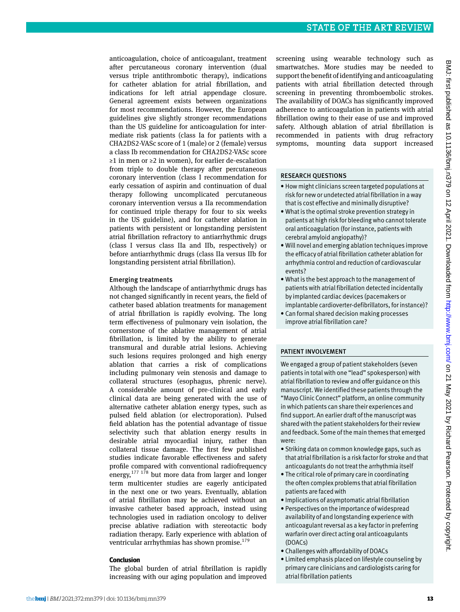anticoagulation, choice of anticoagulant, treatment after percutaneous coronary intervention (dual versus triple antithrombotic therapy), indications for catheter ablation for atrial fibrillation, and indications for left atrial appendage closure. General agreement exists between organizations for most recommendations. However, the European guidelines give slightly stronger recommendations than the US guideline for anticoagulation for intermediate risk patients (class Ia for patients with a CHA2DS2-VASc score of 1 (male) or 2 (female) versus a class Ib recommendation for CHA2DS2-VASc score ≥1 in men or ≥2 in women), for earlier de-escalation from triple to double therapy after percutaneous coronary intervention (class I recommendation for early cessation of aspirin and continuation of dual therapy following uncomplicated percutaneous coronary intervention versus a IIa recommendation for continued triple therapy for four to six weeks in the US guideline), and for catheter ablation in patients with persistent or longstanding persistent atrial fibrillation refractory to antiarrhythmic drugs (class I versus class IIa and IIb, respectively) or before antiarrhythmic drugs (class IIa versus IIb for longstanding persistent atrial fibrillation).

#### Emerging treatments

Although the landscape of antiarrhythmic drugs has not changed significantly in recent years, the field of catheter based ablation treatments for management of atrial fibrillation is rapidly evolving. The long term effectiveness of pulmonary vein isolation, the cornerstone of the ablative management of atrial fibrillation, is limited by the ability to generate transmural and durable atrial lesions. Achieving such lesions requires prolonged and high energy ablation that carries a risk of complications including pulmonary vein stenosis and damage to collateral structures (esophagus, phrenic nerve). A considerable amount of pre-clinical and early clinical data are being generated with the use of alternative catheter ablation energy types, such as pulsed field ablation (or electroporation). Pulsed field ablation has the potential advantage of tissue selectivity such that ablation energy results in desirable atrial myocardial injury, rather than collateral tissue damage. The first few published studies indicate favorable effectiveness and safety profile compared with conventional radiofrequency energy, $177 178$  but more data from larger and longer term multicenter studies are eagerly anticipated in the next one or two years. Eventually, ablation of atrial fibrillation may be achieved without an invasive catheter based approach, instead using technologies used in radiation oncology to deliver precise ablative radiation with stereotactic body radiation therapy. Early experience with ablation of ventricular arrhythmias has shown promise. $179$ 

#### **Conclusion**

The global burden of atrial fibrillation is rapidly increasing with our aging population and improved screening using wearable technology such as smartwatches. More studies may be needed to support the benefit of identifying and anticoagulating patients with atrial fibrillation detected through screening in preventing thromboembolic strokes. The availability of DOACs has significantly improved adherence to anticoagulation in patients with atrial fibrillation owing to their ease of use and improved safety. Although ablation of atrial fibrillation is recommended in patients with drug refractory symptoms, mounting data support increased

#### Research questions

- • How might clinicians screen targeted populations at risk for new or undetected atrial fibrillation in a way that is cost effective and minimally disruptive?
- • What is the optimal stroke prevention strategy in patients at high risk for bleeding who cannot tolerate oral anticoagulation (for instance, patients with cerebral amyloid angiopathy)?
- • Will novel and emerging ablation techniques improve the efficacy of atrial fibrillation catheter ablation for arrhythmia control and reduction of cardiovascular events?
- What is the best approach to the management of patients with atrial fibrillation detected incidentally by implanted cardiac devices (pacemakers or implantable cardioverter-defibrillators, for instance)?
- Can formal shared decision making processes improve atrial fibrillation care?

#### Patient involvement

We engaged a group of patient stakeholders (seven patients in total with one "lead" spokesperson) with atrial fibrillation to review and offer guidance on this manuscript. We identified these patients through the "Mayo Clinic Connect" platform, an online community in which patients can share their experiences and find support. An earlier draft of the manuscript was shared with the patient stakeholders for their review and feedback. Some of the main themes that emerged were:

- Striking data on common knowledge gaps, such as that atrial fibrillation is a risk factor for stroke and that anticoagulants do not treat the arrhythmia itself
- The critical role of primary care in coordinating the often complex problems that atrial fibrillation patients are faced with
- Implications of asymptomatic atrial fibrillation
- • Perspectives on the importance of widespread availability of and longstanding experience with anticoagulant reversal as a key factor in preferring warfarin over direct acting oral anticoagulants (DOACs)
- • Challenges with affordability of DOACs
- • Limited emphasis placed on lifestyle counseling by primary care clinicians and cardiologists caring for atrial fibrillation patients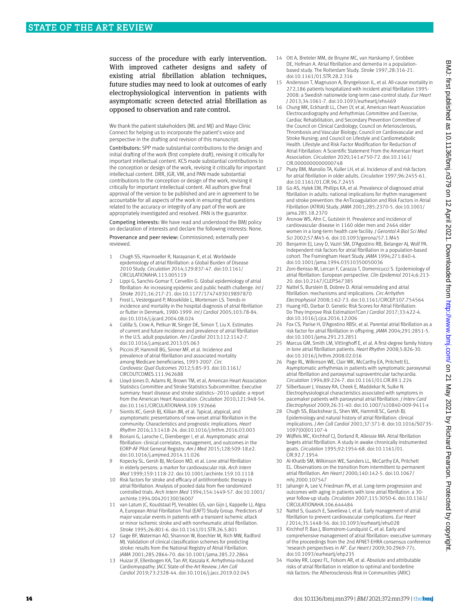success of the procedure with early intervention. With improved catheter designs and safety of existing atrial fibrillation ablation techniques, future studies may need to look at outcomes of early electrophysiological intervention in patients with asymptomatic screen detected atrial fibrillation as opposed to observation and rate control.

We thank the patient stakeholders (ML and MJ) and Mayo Clinic Connect for helping us to incorporate the patient's voice and perspective in the drafting and revision of this manuscript.

Contributors: SPP made substantial contributions to the design and initial drafting of the work (first complete draft), revising it critically for important intellectual content. KCS made substantial contributions to the conception or design of the work, revising it critically for important intellectual content. DRR, JGR, VM, and PAN made substantial contributions to the conception or design of the work, revising it critically for important intellectual content. All authors give final approval of the version to be published and are in agreement to be accountable for all aspects of the work in ensuring that questions related to the accuracy or integrity of any part of the work are appropriately investigated and resolved. PAN is the guarantor.

Competing interests: We have read and understood the BMJ policy on declaration of interests and declare the following interests: None.

Provenance and peer review: Commissioned; externally peer reviewed.

- 1 Chugh SS, Havmoeller R, Narayanan K, et al. Worldwide epidemiology of atrial fibrillation: a Global Burden of Disease 2010 Study. *Circulation* 2014;129:837-47. doi:10.1161/ CIRCULATIONAHA.113.005119
- 2 Lippi G, Sanchis-Gomar F, Cervellin G. Global epidemiology of atrial fibrillation: An increasing epidemic and public health challenge. *Int J Stroke* 2021;16:217-21. doi:10.1177/1747493019897870
- 3 Frost L, Vestergaard P, Mosekilde L, Mortensen LS. Trends in incidence and mortality in the hospital diagnosis of atrial fibrillation or flutter in Denmark, 1980-1999. *Int J Cardiol* 2005;103:78-84. doi:10.1016/j.ijcard.2004.08.024
- 4 Colilla S, Crow A, Petkun W, Singer DE, Simon T, Liu X. Estimates of current and future incidence and prevalence of atrial fibrillation in the U.S. adult population. *Am J Cardiol* 2013;112:1142-7. doi:10.1016/j.amjcard.2013.05.063
- 5 Piccini JP, Hammill BG, Sinner MF, et al. Incidence and prevalence of atrial fibrillation and associated mortality among Medicare beneficiaries, 1993-2007. *Circ Cardiovasc Qual Outcomes* 2012;5:85-93. doi:10.1161/ CIRCOUTCOMES.111.962688
- 6 Lloyd-Jones D, Adams RJ, Brown TM, et al, American Heart Association Statistics Committee and Stroke Statistics Subcommittee. Executive summary: heart disease and stroke statistics--2010 update: a report from the American Heart Association. *Circulation* 2010;121:948-54. doi:10.1161/CIRCULATIONAHA.109.192666
- Siontis KC, Gersh BJ, Killian JM, et al. Typical, atypical, and asymptomatic presentations of new-onset atrial fibrillation in the community: Characteristics and prognostic implications. *Heart Rhythm* 2016;13:1418-24. doi:10.1016/j.hrthm.2016.03.003
- 8 Boriani G, Laroche C, Diemberger I, et al. Asymptomatic atrial fibrillation: clinical correlates, management, and outcomes in the EORP-AF Pilot General Registry. *Am J Med* 2015;128:509-18.e2. doi:10.1016/j.amjmed.2014.11.026
- Kopecky SL, Gersh BJ, McGoon MD, et al. Lone atrial fibrillation in elderly persons: a marker for cardiovascular risk. *Arch Intern Med* 1999;159:1118-22. doi:10.1001/archinte.159.10.1118
- 10 Risk factors for stroke and efficacy of antithrombotic therapy in atrial fibrillation. Analysis of pooled data from five randomized controlled trials. *Arch Intern Med* 1994;154:1449-57. doi:10.1001/ archinte.1994.00420130036007
- 11 van Latum JC, Koudstaal PJ, Venables GS, van Gijn J, Kappelle LJ, Algra A, European Atrial Fibrillation Trial (EAFT) Study Group. Predictors of major vascular events in patients with a transient ischemic attack or minor ischemic stroke and with nonrheumatic atrial fibrillation. *Stroke* 1995;26:801-6. doi:10.1161/01.STR.26.5.801
- 12 Gage BF, Waterman AD, Shannon W, Boechler M, Rich MW, Radford MJ. Validation of clinical classification schemes for predicting stroke: results from the National Registry of Atrial Fibrillation. *JAMA* 2001;285:2864-70. doi:10.1001/jama.285.22.2864
- 13 Huizar JF, Ellenbogen KA, Tan AY, Kaszala K. Arrhythmia-Induced Cardiomyopathy: JACC State-of-the-Art Review. *J Am Coll Cardiol* 2019;73:2328-44. doi:10.1016/j.jacc.2019.02.045
- 14 Ott A, Breteler MM, de Bruyne MC, van Harskamp F, Grobbee DE, Hofman A. Atrial fibrillation and dementia in a populationbased study. The Rotterdam Study. *Stroke* 1997;28:316-21. doi:10.1161/01.STR.28.2.316
- 15 Andersson T, Magnuson A, Bryngelsson IL, et al. All-cause mortality in 272,186 patients hospitalized with incident atrial fibrillation 1995- 2008: a Swedish nationwide long-term case-control study. *Eur Heart J* 2013;34:1061-7. doi:10.1093/eurheartj/ehs469
- 16 Chung MK, Eckhardt LL, Chen LY, et al, American Heart Association Electrocardiography and Arrhythmias Committee and Exercise, Cardiac Rehabilitation, and Secondary Prevention Committee of the Council on Clinical Cardiology; Council on Arteriosclerosis, Thrombosis and Vascular Biology; Council on Cardiovascular and Stroke Nursing; and Council on Lifestyle and Cardiometabolic Health. Lifestyle and Risk Factor Modification for Reduction of Atrial Fibrillation: A Scientific Statement From the American Heart Association. *Circulation* 2020;141:e750-72. doi:10.1161/ CIR.0000000000000748
- 17 Psaty BM, Manolio TA, Kuller LH, et al. Incidence of and risk factors for atrial fibrillation in older adults. *Circulation* 1997;96:2455-61. doi:10.1161/01.CIR.96.7.2455
- 18 Go AS, Hylek EM, Phillips KA, et al. Prevalence of diagnosed atrial fibrillation in adults: national implications for rhythm management and stroke prevention: the AnTicoagulation and Risk Factors in Atrial Fibrillation (ATRIA) Study. *JAMA* 2001;285:2370-5. doi:10.1001/ jama.285.18.2370
- 19 Aronow WS, Ahn C, Gutstein H. Prevalence and incidence of cardiovascular disease in 1160 older men and 2464 older women in a long-term health care facility. *J Gerontol A Biol Sci Med Sci* 2002;57:M45-6. doi:10.1093/gerona/57.1.M45
- 20 Benjamin EJ, Levy D, Vaziri SM, D'Agostino RB, Belanger AJ, Wolf PA. Independent risk factors for atrial fibrillation in a population-based cohort. The Framingham Heart Study. *JAMA* 1994;271:840-4. doi:10.1001/jama.1994.03510350050036
- 21 Zoni-Berisso M, Lercari F, Carazza T, Domenicucci S. Epidemiology of atrial fibrillation: European perspective. *Clin Epidemiol* 2014;6:213- 20. doi:10.2147/CLEP.S47385
- 22 Nattel S, Burstein B, Dobrev D. Atrial remodeling and atrial fibrillation: mechanisms and implications. *Circ Arrhythm Electrophysiol* 2008;1:62-73. doi:10.1161/CIRCEP.107.754564
- 23 Huang HD, Darbar D. Genetic Risk Scores for Atrial Fibrillation: Do They Improve Risk Estimation?*Can J Cardiol* 2017;33:422-4. doi:10.1016/j.cjca.2016.12.006
- 24 Fox CS, Parise H, D'Agostino RBSr, et al. Parental atrial fibrillation as a risk factor for atrial fibrillation in offspring. *JAMA* 2004;291:2851-5. doi:10.1001/jama.291.23.2851
- 25 Marcus GM, Smith LM, Vittinghoff E, et al. A first-degree family history in lone atrial fibrillation patients. *Heart Rhythm* 2008;5:826-30. doi:10.1016/j.hrthm.2008.02.016
- 26 Page RL, Wilkinson WE, Clair WK, McCarthy EA, Pritchett EL. Asymptomatic arrhythmias in patients with symptomatic paroxysmal atrial fibrillation and paroxysmal supraventricular tachycardia. *Circulation* 1994;89:224-7. doi:10.1161/01.CIR.89.1.224
- 27 Silberbauer J, Veasey RA, Cheek E, Maddekar N, Sulke N. Electrophysiological characteristics associated with symptoms in pacemaker patients with paroxysmal atrial fibrillation. *J Interv Card Electrophysiol* 2009;26:31-40. doi:10.1007/s10840-009-9411-x
- 28 Chugh SS, Blackshear JL, Shen WK, Hammill SC, Gersh BJ. Epidemiology and natural history of atrial fibrillation: clinical implications. *J Am Coll Cardiol* 2001;37:371-8. doi:10.1016/S0735- 1097(00)01107-4
- 29 Wijffels MC, Kirchhof CJ, Dorland R, Allessie MA. Atrial fibrillation begets atrial fibrillation. A study in awake chronically instrumented goats. *Circulation* 1995;92:1954-68. doi:10.1161/01. CIR.92.7.1954
- 30 Al-Khatib SM, Wilkinson WE, Sanders LL, McCarthy EA, Pritchett EL. Observations on the transition from intermittent to permanent atrial fibrillation. *Am Heart J* 2000;140:142-5. doi:10.1067/ mhj.2000.107547
- 31 Jahangir A, Lee V, Friedman PA, et al. Long-term progression and outcomes with aging in patients with lone atrial fibrillation: a 30 year follow-up study. *Circulation* 2007;115:3050-6. doi:10.1161/ CIRCULATIONAHA.106.644484
- 32 Nattel S, Guasch E, Savelieva I, et al. Early management of atrial fibrillation to prevent cardiovascular complications. *Eur Heart J* 2014;35:1448-56. doi:10.1093/eurheartj/ehu028
- 33 Kirchhof P, Bax J, Blomstrom-Lundquist C, et al. Early and comprehensive management of atrial fibrillation: executive summary of the proceedings from the 2nd AFNET-EHRA consensus conference 'research perspectives in AF'. *Eur Heart J* 2009;30:2969-77c. doi:10.1093/eurheartj/ehp235
- 34 Huxley RR, Lopez FL, Folsom AR, et al. Absolute and attributable risks of atrial fibrillation in relation to optimal and borderline risk factors: the Atherosclerosis Risk in Communities (ARIC)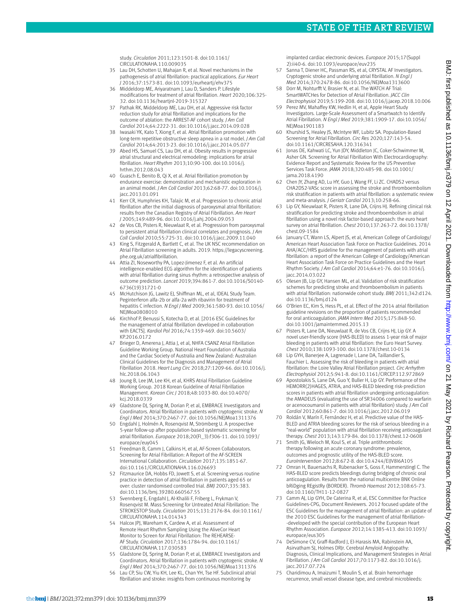study. *Circulation* 2011;123:1501-8. doi:10.1161/ CIRCULATIONAHA.110.009035

- 35 Lau DH, Schotten U, Mahajan R, et al. Novel mechanisms in the pathogenesis of atrial fibrillation: practical applications. *Eur Heart J* 2016;37:1573-81. doi:10.1093/eurheartj/ehv375
- 36 Middeldorp ME, Ariyaratnam J, Lau D, Sanders P. Lifestyle modifications for treatment of atrial fibrillation. *Heart* 2020;106:325- 32. doi:10.1136/heartjnl-2019-315327
- 37 Pathak RK, Middeldorp ME, Lau DH, et al. Aggressive risk factor reduction study for atrial fibrillation and implications for the outcome of ablation: the ARREST-AF cohort study. *J Am Coll Cardiol* 2014;64:2222-31. doi:10.1016/j.jacc.2014.09.028
- 38 Iwasaki YK, Kato T, Xiong F, et al. Atrial fibrillation promotion with long-term repetitive obstructive sleep apnea in a rat model. *J Am Coll Cardiol* 2014;64:2013-23. doi:10.1016/j.jacc.2014.05.077
- Abed HS, Samuel CS, Lau DH, et al. Obesity results in progressive atrial structural and electrical remodeling: implications for atrial fibrillation. *Heart Rhythm* 2013;10:90-100. doi:10.1016/j. hrthm.2012.08.043
- 40 Guasch E, Benito B, Qi X, et al. Atrial fibrillation promotion by endurance exercise: demonstration and mechanistic exploration in an animal model. *J Am Coll Cardiol* 2013;62:68-77. doi:10.1016/j. jacc.2013.01.091
- 41 Kerr CR, Humphries KH, Talajic M, et al. Progression to chronic atrial fibrillation after the initial diagnosis of paroxysmal atrial fibrillation: results from the Canadian Registry of Atrial Fibrillation. *Am Heart J* 2005;149:489-96. doi:10.1016/j.ahj.2004.09.053
- 42 de Vos CB, Pisters R, Nieuwlaat R, et al. Progression from paroxysmal to persistent atrial fibrillation clinical correlates and prognosis. *J Am Coll Cardiol* 2010;55:725-31. doi:10.1016/j.jacc.2009.11.040
- 43 King S, Fitzgerald A, Bartlett C, et al. The UK NSC recommendation on Atrial Fibrillation screening in adults. 2019. [https://legacyscreening.](https://legacyscreening.phe.org.uk/atrialfibrillation) [phe.org.uk/atrialfibrillation.](https://legacyscreening.phe.org.uk/atrialfibrillation)
- Attia ZI, Noseworthy PA, Lopez-Jimenez F, et al. An artificial intelligence-enabled ECG algorithm for the identification of patients with atrial fibrillation during sinus rhythm: a retrospective analysis of outcome prediction. *Lancet* 2019;394:861-7. doi:10.1016/S0140- 6736(19)31721-0
- 45 McHutchison JG, Lawitz EJ, Shiffman ML, et al, IDEAL Study Team. Peginterferon alfa-2b or alfa-2a with ribavirin for treatment of hepatitis C infection. *N Engl J Med* 2009;361:580-93. doi:10.1056/ NEJMoa0808010
- 46 Kirchhof P, Benussi S, Kotecha D, et al. [2016 ESC Guidelines for the management of atrial fibrillation developed in collaboration with EACTS]. *Kardiol Pol* 2016;74:1359-469. doi:10.5603/ KP.2016.0172
- 47 Brieger D, Amerena J, Attia J, et al, NHFA CSANZ Atrial Fibrillation Guideline Working Group. National Heart Foundation of Australia and the Cardiac Society of Australia and New Zealand: Australian Clinical Guidelines for the Diagnosis and Management of Atrial Fibrillation 2018. *Heart Lung Circ* 2018;27:1209-66. doi:10.1016/j. hlc.2018.06.1043
- 48 Joung B, Lee JM, Lee KH, et al, KHRS Atrial Fibrillation Guideline Working Group. 2018 Korean Guideline of Atrial Fibrillation Management. *Korean Circ J* 2018;48:1033-80. doi:10.4070/ kcj.2018.0339
- Gladstone DJ, Spring M, Dorian P, et al, EMBRACE Investigators and Coordinators. Atrial fibrillation in patients with cryptogenic stroke. *N Engl J Med* 2014;370:2467-77. doi:10.1056/NEJMoa1311376
- 50 Engdahl J, Holmén A, Rosenqvist M, Strömberg U. A prospective 5-year follow-up after population-based systematic screening for atrial fibrillation. *Europace* 2018;20(FI\_3):f306-11. doi:10.1093/ europace/euy045
- 51 Freedman B, Camm J, Calkins H, et al, AF-Screen Collaborators. Screening for Atrial Fibrillation: A Report of the AF-SCREEN International Collaboration. *Circulation* 2017;135:1851-67. doi:10.1161/CIRCULATIONAHA.116.026693
- 52 Fitzmaurice DA, Hobbs FD, Jowett S, et al. Screening versus routine practice in detection of atrial fibrillation in patients aged 65 or over: cluster randomised controlled trial. *BMJ* 2007;335:383. doi:10.1136/bmj.39280.660567.55
- 53 Svennberg E, Engdahl J, Al-Khalili F, Friberg L, Frykman V, Rosenqvist M. Mass Screening for Untreated Atrial Fibrillation: The STROKESTOP Study. *Circulation* 2015;131:2176-84. doi:10.1161/ CIRCULATIONAHA.114.014343
- 54 Halcox JPJ, Wareham K, Cardew A, et al. Assessment of Remote Heart Rhythm Sampling Using the AliveCor Heart Monitor to Screen for Atrial Fibrillation: The REHEARSE-AF Study. *Circulation* 2017;136:1784-94. doi:10.1161/ CIRCULATIONAHA.117.030583
- 55 Gladstone DJ, Spring M, Dorian P, et al, EMBRACE Investigators and Coordinators. Atrial fibrillation in patients with cryptogenic stroke. *N Engl J Med* 2014;370:2467-77. doi:10.1056/NEJMoa1311376
- 56 Lau CP, Siu CW, Yiu KH, Lee KL, Chan YH, Tse HF. Subclinical atrial fibrillation and stroke: insights from continuous monitoring by

implanted cardiac electronic devices. *Europace* 2015;17(Suppl 2):ii40-6. doi:10.1093/europace/euv235

- 57 Sanna T, Diener HC, Passman RS, et al, CRYSTAL AF Investigators. Cryptogenic stroke and underlying atrial fibrillation. *N Engl J Med* 2014;370:2478-86. doi:10.1056/NEJMoa1313600
- 58 Dörr M, Nohturfft V, Brasier N, et al. The WATCH AF Trial: SmartWATCHes for Detection of Atrial Fibrillation. *JACC Clin Electrophysiol* 2019;5:199-208. doi:10.1016/j.jacep.2018.10.006
- 59 Perez MV, Mahaffey KW, Hedlin H, et al, Apple Heart Study Investigators. Large-Scale Assessment of a Smartwatch to Identify Atrial Fibrillation. *N Engl J Med* 2019;381:1909-17. doi:10.1056/ NEJMoa1901183
- 60 Khurshid S, Healey JS, McIntyre WF, Lubitz SA. Population-Based Screening for Atrial Fibrillation. *Circ Res* 2020;127:143-54. doi:10.1161/CIRCRESAHA.120.316341
- 61 Jonas DE, Kahwati LC, Yun JDY, Middleton JC, Coker-Schwimmer M, Asher GN. Screening for Atrial Fibrillation With Electrocardiography: Evidence Report and Systematic Review for the US Preventive Services Task Force. *JAMA* 2018;320:485-98. doi:10.1001/ jama.2018.4190
- 62 Chen JY, Zhang AD, Lu HY, Guo J, Wang FF, Li ZC. CHADS2 versus CHA2DS2-VASc score in assessing the stroke and thromboembolism risk stratification in patients with atrial fibrillation: a systematic review and meta-analysis. *J Geriatr Cardiol* 2013;10:258-66.
- 63 Lip GY, Nieuwlaat R, Pisters R, Lane DA, Crijns HJ. Refining clinical risk stratification for predicting stroke and thromboembolism in atrial fibrillation using a novel risk factor-based approach: the euro heart survey on atrial fibrillation. *Chest* 2010;137:263-72. doi:10.1378/ chest.09-1584
- 64 January CT, Wann LS, Alpert JS, et al, American College of Cardiology/ American Heart Association Task Force on Practice Guidelines. 2014 AHA/ACC/HRS guideline for the management of patients with atrial fibrillation: a report of the American College of Cardiology/American Heart Association Task Force on Practice Guidelines and the Heart Rhythm Society. *J Am Coll Cardiol* 2014;64:e1-76. doi:10.1016/j. jacc.2014.03.022
- Olesen JB, Lip GY, Hansen ML, et al. Validation of risk stratification schemes for predicting stroke and thromboembolism in patients with atrial fibrillation: nationwide cohort study. *BMJ* 2011;342:d124. doi:10.1136/bmj.d124
- 0'Brien EC, Kim S, Hess PL, et al. Effect of the 2014 atrial fibrillation guideline revisions on the proportion of patients recommended for oral anticoagulation. *JAMA Intern Med* 2015;175:848-50. doi:10.1001/jamainternmed.2015.13
- Pisters R, Lane DA, Nieuwlaat R, de Vos CB, Crijns HJ, Lip GY. A novel user-friendly score (HAS-BLED) to assess 1-year risk of major bleeding in patients with atrial fibrillation: the Euro Heart Survey. *Chest* 2010;138:1093-100. doi:10.1378/chest.10-0134
- 68 Lip GYH, Banerjee A, Lagrenade I, Lane DA, Taillandier S, Fauchier L. Assessing the risk of bleeding in patients with atrial fibrillation: the Loire Valley Atrial Fibrillation project. *Circ Arrhythm Electrophysiol* 2012;5:941-8. doi:10.1161/CIRCEP.112.972869
- 69 Apostolakis S, Lane DA, Guo Y, Buller H, Lip GY. Performance of the HEMORR(2)HAGES, ATRIA, and HAS-BLED bleeding risk-prediction scores in patients with atrial fibrillation undergoing anticoagulation: the AMADEUS (evaluating the use of SR34006 compared to warfarin or acenocoumarol in patients with atrial fibrillation) study. *J Am Coll Cardiol* 2012;60:861-7. doi:10.1016/j.jacc.2012.06.019
- 70 Roldán V, Marín F, Fernández H, et al. Predictive value of the HAS-BLED and ATRIA bleeding scores for the risk of serious bleeding in a "real-world" population with atrial fibrillation receiving anticoagulant therapy. *Chest* 2013;143:179-84. doi:10.1378/chest.12-0608
- Smith JG, Wieloch M, Koul S, et al. Triple antithrombotic therapy following an acute coronary syndrome: prevalence, outcomes and prognostic utility of the HAS-BLED score. *EuroIntervention* 2012;8:672-8. doi:10.4244/EIJV8I6A105
- Omran H, Bauersachs R, Rübenacker S, Goss F, Hammerstingl C. The HAS-BLED score predicts bleedings during bridging of chronic oral anticoagulation. Results from the national multicentre BNK Online bRiDging REgistRy (BORDER). *Thromb Haemost* 2012;108:65-73. doi:10.1160/TH11-12-0827
- 73 Camm AJ, Lip GYH, De Caterina R, et al, ESC Committee for Practice Guidelines-CPG, Document Reviewers. 2012 focused update of the ESC Guidelines for the management of atrial fibrillation: an update of the 2010 ESC Guidelines for the management of atrial fibrillation- -developed with the special contribution of the European Heart Rhythm Association. *Europace* 2012;14:1385-413. doi:10.1093/ europace/eus305
- 74 DeSimone CV, Graff-Radford J, El-Harasis MA, Rabinstein AA, Asirvatham SJ, Holmes DRJr. Cerebral Amyloid Angiopathy: Diagnosis, Clinical Implications, and Management Strategies in Atrial Fibrillation. *J Am Coll Cardiol* 2017;70:1173-82. doi:10.1016/j. jacc.2017.07.724
- 75 Charidimou A, Imaizumi T, Moulin S, et al. Brain hemorrhage recurrence, small vessel disease type, and cerebral microbleeds: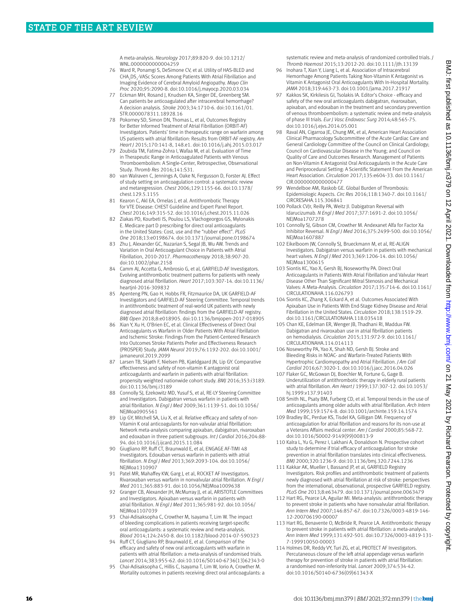A meta-analysis. *Neurology* 2017;89:820-9. doi:10.1212/ WNL.0000000000004259

- 76 Ward R, Ponamgi S, DeSimone CV, et al. Utility of HAS-BLED and CHA<sub>2</sub>DS<sub>2</sub>-VASc Scores Among Patients With Atrial Fibrillation and Imaging Evidence of Cerebral Amyloid Angiopathy. *Mayo Clin Proc* 2020;95:2090-8. doi:10.1016/j.mayocp.2020.03.034
- 77 Eckman MH, Rosand J, Knudsen KA, Singer DE, Greenberg SM. Can patients be anticoagulated after intracerebral hemorrhage? A decision analysis. *Stroke* 2003;34:1710-6. doi:10.1161/01. STR.0000078311.18928.16
- Pokorney SD, Simon DN, Thomas L, et al, Outcomes Registry for Better Informed Treatment of Atrial Fibrillation (ORBIT-AF) Investigators. Patients' time in therapeutic range on warfarin among US patients with atrial fibrillation: Results from ORBIT-AF registry. *Am Heart J* 2015;170:141-8, 148.e1. doi:10.1016/j.ahj.2015.03.017
- Zoubida TM, Fatima-Zohra I, Wafaa M, et al. Evaluation of Time in Therapeutic Range in Anticoagulated Patients with Venous Thromboembolism: A Single-Center, Retrospective, Observational Study. *Thromb Res* 2016;141:S31.
- van Walraven C, Jennings A, Oake N, Fergusson D, Forster AJ. Effect of study setting on anticoagulation control: a systematic review and metaregression. *Chest* 2006;129:1155-66. doi:10.1378/ chest.129.5.1155
- 81 Kearon C, Akl EA, Ornelas J, et al. Antithrombotic Therapy for VTE Disease: CHEST Guideline and Expert Panel Report. *Chest* 2016;149:315-52. doi:10.1016/j.chest.2015.11.026
- 82 Ziakas PD, Kourbeti IS, Poulou LS, Vlachogeorgos GS, Mylonakis E. Medicare part D prescribing for direct oral anticoagulants in the United States: Cost, use and the "rubber effect". *PLoS One* 2018;13:e0198674. doi:10.1371/journal.pone.0198674
- 83 Zhu J, Alexander GC, Nazarian S, Segal JB, Wu AW. Trends and Variation in Oral Anticoagulant Choice in Patients with Atrial Fibrillation, 2010-2017. *Pharmacotherapy* 2018;38:907-20. doi:10.1002/phar.2158
- 84 Camm AJ, Accetta G, Ambrosio G, et al, GARFIELD-AF Investigators. Evolving antithrombotic treatment patterns for patients with newly diagnosed atrial fibrillation. *Heart* 2017;103:307-14. doi:10.1136/ heartinl-2016-309832
- 85 Apenteng PN, Gao H, Hobbs FR, Fitzmaurice DA, UK GARFIELD-AF Investigators and GARFIELD-AF Steering Committee. Temporal trends in antithrombotic treatment of real-world UK patients with newly diagnosed atrial fibrillation: findings from the GARFIELD-AF registry. *BMJ Open* 2018;8:e018905. doi:10.1136/bmjopen-2017-018905
- 86 Xian Y, Xu H, O'Brien EC, et al. Clinical Effectiveness of Direct Oral Anticoagulants vs Warfarin in Older Patients With Atrial Fibrillation and Ischemic Stroke: Findings From the Patient-Centered Research Into Outcomes Stroke Patients Prefer and Effectiveness Research (PROSPER) Study. *JAMA Neurol* 2019;76:1192-202. doi:10.1001/ jamaneurol.2019.2099
- 87 Larsen TB, Skjøth F, Nielsen PB, Kjældgaard JN, Lip GY. Comparative effectiveness and safety of non-vitamin K antagonist oral anticoagulants and warfarin in patients with atrial fibrillation: propensity weighted nationwide cohort study. *BMJ* 2016;353:i3189. doi:10.1136/bmj.i3189
- 88 Connolly SJ, Ezekowitz MD, Yusuf S, et al, RE-LY Steering Committee and Investigators. Dabigatran versus warfarin in patients with atrial fibrillation. *N Engl J Med* 2009;361:1139-51. doi:10.1056/ NEJMoa0905561
- 89 Lip GY, Mitchell SA, Liu X, et al. Relative efficacy and safety of non-Vitamin K oral anticoagulants for non-valvular atrial fibrillation: Network meta-analysis comparing apixaban, dabigatran, rivaroxaban and edoxaban in three patient subgroups. *Int J Cardiol* 2016;204:88- 94. doi:10.1016/j.ijcard.2015.11.084
- 90 Giugliano RP, Ruff CT, Braunwald E, et al, ENGAGE AF-TIMI 48 Investigators. Edoxaban versus warfarin in patients with atrial fibrillation. *N Engl J Med* 2013;369:2093-104. doi:10.1056/ NEJMoa1310907
- 91 Patel MR, Mahaffey KW, Garg J, et al, ROCKET AF Investigators. Rivaroxaban versus warfarin in nonvalvular atrial fibrillation. *N Engl J Med* 2011;365:883-91. doi:10.1056/NEJMoa1009638
- 92 Granger CB, Alexander JH, McMurray JJ, et al, ARISTOTLE Committees and Investigators. Apixaban versus warfarin in patients with atrial fibrillation. *N Engl J Med* 2011;365:981-92. doi:10.1056/ NEJMoa1107039
- 93 Chai-Adisaksopha C, Crowther M, Isayama T, Lim W. The impact of bleeding complications in patients receiving target-specific oral anticoagulants: a systematic review and meta-analysis. *Blood* 2014;124:2450-8. doi:10.1182/blood-2014-07-590323
- Ruff CT, Giugliano RP, Braunwald E, et al. Comparison of the efficacy and safety of new oral anticoagulants with warfarin in patients with atrial fibrillation: a meta-analysis of randomised trials. *Lancet* 2014;383:955-62. doi:10.1016/S0140-6736(13)62343-0
- 95 Chai-Adisaksopha C, Hillis C, Isayama T, Lim W, Iorio A, Crowther M. Mortality outcomes in patients receiving direct oral anticoagulants: a

systematic review and meta-analysis of randomized controlled trials. *J Thromb Haemost* 2015;13:2012-20. doi:10.1111/jth.13139

- 96 Inohara T, Xian Y, Liang L, et al. Association of Intracerebral Hemorrhage Among Patients Taking Non-Vitamin K Antagonist vs Vitamin K Antagonist Oral Anticoagulants With In-Hospital Mortality. *JAMA* 2018;319:463-73. doi:10.1001/jama.2017.21917
- 97 Kakkos SK, Kirkilesis GL Tsolakis JA, Editor's Choice efficacy and safety of the new oral anticoagulants dabigatran, rivaroxaban, apixaban, and edoxaban in the treatment and secondary prevention of venous thromboembolism: a systematic review and meta-analysis of phase III trials. *Eur J Vasc Endovasc Surg* 2014;48:565-75. doi:10.1016/j.ejvs.2014.05.001
- 98 Raval AN, Cigarroa JE, Chung MK, et al, American Heart Association Clinical Pharmacology Subcommittee of the Acute Cardiac Care and General Cardiology Committee of the Council on Clinical Cardiology; Council on Cardiovascular Disease in the Young; and Council on Quality of Care and Outcomes Research. Management of Patients on Non-Vitamin K Antagonist Oral Anticoagulants in the Acute Care and Periprocedural Setting: A Scientific Statement From the American Heart Association. *Circulation* 2017;135:e604-33. doi:10.1161/ CIR.0000000000000477
- Wendelboe AM, Raskob GE. Global Burden of Thrombosis: Epidemiologic Aspects. *Circ Res* 2016;118:1340-7. doi:10.1161/ CIRCRESAHA.115.306841
- 100 Pollack CVJr, Reilly PA, Weitz JI. Dabigatran Reversal with Idarucizumab. *N Engl J Med* 2017;377:1691-2. doi:10.1056/ NEJMoa1707278
- 101 Connolly SJ, Gibson CM, Crowther M. Andexanet Alfa for Factor Xa Inhibitor Reversal. *N Engl J Med* 2016;375:2499-500. doi:10.1056/ NEJMoa1607887
- 102 Eikelboom JW, Connolly SJ, Brueckmann M, et al, RE-ALIGN Investigators. Dabigatran versus warfarin in patients with mechanical heart valves. *N Engl J Med* 2013;369:1206-14. doi:10.1056/ NEJMoa1300615
- 103 Siontis KC, Yao X, Gersh BJ, Noseworthy PA. Direct Oral Anticoagulants in Patients With Atrial Fibrillation and Valvular Heart Disease Other Than Significant Mitral Stenosis and Mechanical Valves: A Meta-Analysis. *Circulation* 2017;135:714-6. doi:10.1161/ CIRCULATIONAHA.116.026793
- 104 Siontis KC, Zhang X, Eckard A, et al. Outcomes Associated With Apixaban Use in Patients With End-Stage Kidney Disease and Atrial Fibrillation in the United States. *Circulation* 2018;138:1519-29. doi:10.1161/CIRCULATIONAHA.118.035418
- 105 Chan KE, Edelman ER, Wenger JB, Thadhani RI, Maddux FW. Dabigatran and rivaroxaban use in atrial fibrillation patients on hemodialysis. *Circulation* 2015;131:972-9. doi:10.1161/ CIRCULATIONAHA.114.014113
- 106 Noseworthy PA, Yao X, Shah ND, Gersh BJ. Stroke and Bleeding Risks in NOAC- and Warfarin-Treated Patients With Hypertrophic Cardiomyopathy and Atrial Fibrillation. *J Am Coll Cardiol* 2016;67:3020-1. doi:10.1016/j.jacc.2016.04.026
- 107 Flaker GC, McGowan DJ, Boechler M, Fortune G, Gage B. Underutilization of antithrombotic therapy in elderly rural patients with atrial fibrillation. *Am Heart J* 1999;137:307-12. doi:10.1053/ hj.1999.v137.91403
- 108 Smith NL, Psaty BM, Furberg CD, et al. Temporal trends in the use of anticoagulants among older adults with atrial fibrillation. *Arch Intern Med* 1999;159:1574-8. doi:10.1001/archinte.159.14.1574
- 109 Bradley BC, Perdue KS, Tisdel KA, Gilligan DM. Frequency of anticoagulation for atrial fibrillation and reasons for its non-use at a Veterans Affairs medical center. *Am J Cardiol* 2000;85:568-72. doi:10.1016/S0002-9149(99)00813-9
- 110 Kalra L, Yu G, Perez I, Lakhani A, Donaldson N. Prospective cohort study to determine if trial efficacy of anticoagulation for stroke prevention in atrial fibrillation translates into clinical effectiveness. *BMJ* 2000;320:1236-9. doi:10.1136/bmj.320.7244.1236
- 111 Kakkar AK, Mueller I, Bassand JP, et al, GARFIELD Registry Investigators. Risk profiles and antithrombotic treatment of patients newly diagnosed with atrial fibrillation at risk of stroke: perspectives from the international, observational, prospective GARFIELD registry. *PLoS One* 2013;8:e63479. doi:10.1371/journal.pone.0063479
- 112 Hart RG, Pearce LA, Aguilar MI. Meta-analysis: antithrombotic therapy to prevent stroke in patients who have nonvalvular atrial fibrillation. *Ann Intern Med* 2007;146:857-67. doi:10.7326/0003-4819-146- 12-200706190-00007
- 113 Hart RG, Benavente O, McBride R, Pearce LA. Antithrombotic therapy to prevent stroke in patients with atrial fibrillation: a meta-analysis. *Ann Intern Med* 1999;131:492-501. doi:10.7326/0003-4819-131- 7-199910050-00003
- 114 Holmes DR, Reddy VY, Turi ZG, et al, PROTECT AF Investigators. Percutaneous closure of the left atrial appendage versus warfarin therapy for prevention of stroke in patients with atrial fibrillation: a randomised non-inferiority trial. *Lancet* 2009;374:534-42. doi:10.1016/S0140-6736(09)61343-X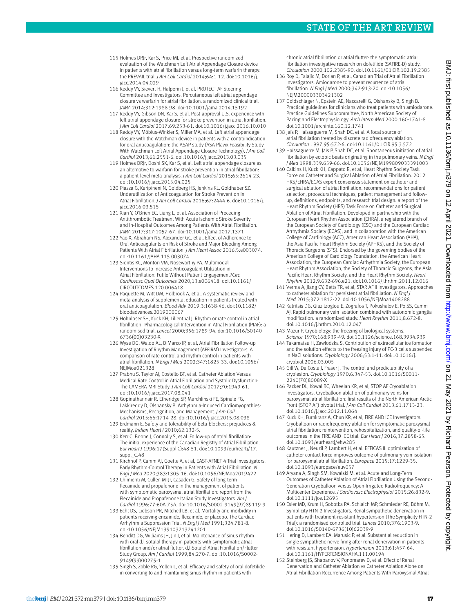- 115 Holmes DRIr, Kar S, Price MJ, et al. Prospective randomized evaluation of the Watchman Left Atrial Appendage Closure device in patients with atrial fibrillation versus long-term warfarin therapy: the PREVAIL trial. *J Am Coll Cardiol* 2014;64:1-12. doi:10.1016/j. jacc.2014.04.029
- 116 Reddy VY, Sievert H, Halperin J, et al, PROTECT AF Steering Committee and Investigators. Percutaneous left atrial appendage closure vs warfarin for atrial fibrillation: a randomized clinical trial. *JAMA* 2014;312:1988-98. doi:10.1001/jama.2014.15192
- 117 Reddy VY, Gibson DN, Kar S, et al. Post-approval U.S. experience with left atrial appendage closure for stroke prevention in atrial fibrillation. *J Am Coll Cardiol* 2017;69:253-61. doi:10.1016/j.jacc.2016.10.010
- 118 Reddy VY, Möbius-Winkler S, Miller MA, et al. Left atrial appendage closure with the Watchman device in patients with a contraindication for oral anticoagulation: the ASAP study (ASA Plavix Feasibility Study With Watchman Left Atrial Appendage Closure Technology). *J Am Coll Cardiol* 2013;61:2551-6. doi:10.1016/j.jacc.2013.03.035
- 119 Holmes DRJr, Doshi SK, Kar S, et al. Left atrial appendage closure as an alternative to warfarin for stroke prevention in atrial fibrillation: a patient-level meta-analysis. *J Am Coll Cardiol* 2015;65:2614-23. doi:10.1016/j.jacc.2015.04.025
- 120 Piazza G, Karipineni N, Goldberg HS, Jenkins KL, Goldhaber SZ. Underutilization of Anticoagulation for Stroke Prevention in Atrial Fibrillation. *J Am Coll Cardiol* 2016;67:2444-6. doi:10.1016/j. jacc.2016.03.515
- 121 Xian Y, O'Brien EC, Liang L, et al. Association of Preceding Antithrombotic Treatment With Acute Ischemic Stroke Severity and In-Hospital Outcomes Among Patients With Atrial Fibrillation. *JAMA* 2017;317:1057-67. doi:10.1001/jama.2017.1371
- 122 Yao X, Abraham NS, Alexander GC, et al. Effect of Adherence to Oral Anticoagulants on Risk of Stroke and Major Bleeding Among Patients With Atrial Fibrillation. *J Am Heart Assoc* 2016;5:e003074. doi:10.1161/JAHA.115.003074
- 123 Siontis KC, Montori VM, Noseworthy PA. Multimodal Interventions to Increase Anticoagulant Utilization in Atrial Fibrillation: Futile Without Patient Engagement?*Circ Cardiovasc Qual Outcomes* 2020;13:e006418. doi:10.1161/ CIRCOUTCOMES.120.006418
- 124 Paquette M, Witt DM, Holbrook A, et al. A systematic review and meta-analysis of supplemental education in patients treated with oral anticoagulation. *Blood Adv* 2019;3:1638-46. doi:10.1182/ bloodadvances.2019000067
- 125 Hohnloser SH, Kuck KH, Lilienthal J. Rhythm or rate control in atrial fibrillation--Pharmacological Intervention in Atrial Fibrillation (PIAF): a randomised trial. *Lancet* 2000;356:1789-94. doi:10.1016/S0140- 6736(00)03230-X
- 126 Wyse DG, Waldo AL, DiMarco JP, et al, Atrial Fibrillation Follow-up Investigation of Rhythm Management (AFFIRM) Investigators. A comparison of rate control and rhythm control in patients with atrial fibrillation. *N Engl J Med* 2002;347:1825-33. doi:10.1056/ NEIMoa021328
- 127 Prabhu S, Taylor AJ, Costello BT, et al. Catheter Ablation Versus Medical Rate Control in Atrial Fibrillation and Systolic Dysfunction: The CAMERA-MRI Study. *J Am Coll Cardiol* 2017;70:1949-61. doi:10.1016/j.jacc.2017.08.041
- 128 Gopinathannair R, Etheridge SP, Marchlinski FE, Spinale FG, Lakkireddy D, Olshansky B. Arrhythmia-Induced Cardiomyopathies: Mechanisms, Recognition, and Management. *J Am Coll Cardiol* 2015;66:1714-28. doi:10.1016/j.jacc.2015.08.038
- 129 Erdmann E. Safety and tolerability of beta-blockers: prejudices & reality. *Indian Heart J* 2010;62:132-5.
- 130 Kerr C, Boone J, Connolly S, et al. Follow-up of atrial fibrillation: The initial experience of the Canadian Registry of Atrial Fibrillation. *Eur Heart J* 1996;17(Suppl C):48-51. doi:10.1093/eurheartj/17. suppl\_C.48
- 131 Kirchhof P, Camm AJ, Goette A, et al, EAST-AFNET 4 Trial Investigators. Early Rhythm-Control Therapy in Patients with Atrial Fibrillation. *N Engl J Med* 2020;383:1305-16. doi:10.1056/NEJMoa2019422
- 132 Chimienti M, Cullen MTJr, Casadei G. Safety of long-term flecainide and propafenone in the management of patients with symptomatic paroxysmal atrial fibrillation: report from the Flecainide and Propafenone Italian Study Investigators. *Am J Cardiol* 1996;77:60A-75A. doi:10.1016/S0002-9149(97)89119-9
- 133 Echt DS, Liebson PR, Mitchell LB, et al. Mortality and morbidity in patients receiving encainide, flecainide, or placebo. The Cardiac Arrhythmia Suppression Trial. *N Engl J Med* 1991;324:781-8. doi:10.1056/NEJM199103213241201
- 134 Benditt DG, Williams JH, Jin J, et al. Maintenance of sinus rhythm with oral d,l-sotalol therapy in patients with symptomatic atrial fibrillation and/or atrial flutter. d,l-Sotalol Atrial Fibrillation/Flutter Study Group. *Am J Cardiol* 1999;84:270-7. doi:10.1016/S0002- 9149(99)00275-1
- 135 Singh S, Zoble RG, Yellen L, et al. Efficacy and safety of oral dofetilide in converting to and maintaining sinus rhythm in patients with

chronic atrial fibrillation or atrial flutter: the symptomatic atrial fibrillation investigative research on dofetilide (SAFIRE-D) study. *Circulation* 2000;102:2385-90. doi:10.1161/01.CIR.102.19.2385

- 136 Roy D, Talajic M, Dorian P, et al, Canadian Trial of Atrial Fibrillation Investigators. Amiodarone to prevent recurrence of atrial fibrillation. *N Engl J Med* 2000;342:913-20. doi:10.1056/ NEJM200003303421302
- 137 Goldschlager N, Epstein AE, Naccarelli G, Olshansky B, Singh B. Practical guidelines for clinicians who treat patients with amiodarone. Practice Guidelines Subcommittee, North American Society of Pacing and Electrophysiology. *Arch Intern Med* 2000;160:1741-8. doi:10.1001/archinte.160.12.1741
- 138 Jaïs P, Haïssaguerre M, Shah DC, et al. A focal source of atrial fibrillation treated by discrete radiofrequency ablation. *Circulation* 1997;95:572-6. doi:10.1161/01.CIR.95.3.572
- 139 Haïssaguerre M, Jaïs P, Shah DC, et al. Spontaneous initiation of atrial fibrillation by ectopic beats originating in the pulmonary veins. *N Engl J Med* 1998;339:659-66. doi:10.1056/NEJM199809033391003
- 140 Calkins H, Kuck KH, Cappato R, et al, Heart Rhythm Society Task Force on Catheter and Surgical Ablation of Atrial Fibrillation. 2012 HRS/EHRA/ECAS expert consensus statement on catheter and surgical ablation of atrial fibrillation: recommendations for patient selection, procedural techniques, patient management and followup, definitions, endpoints, and research trial design: a report of the Heart Rhythm Society (HRS) Task Force on Catheter and Surgical Ablation of Atrial Fibrillation. Developed in partnership with the European Heart Rhythm Association (EHRA), a registered branch of the European Society of Cardiology (ESC) and the European Cardiac Arrhythmia Society (ECAS); and in collaboration with the American College of Cardiology (ACC), American Heart Association (AHA), the Asia Pacific Heart Rhythm Society (APHRS), and the Society of Thoracic Surgeons (STS). Endorsed by the governing bodies of the American College of Cardiology Foundation, the American Heart Association, the European Cardiac Arrhythmia Society, the European Heart Rhythm Association, the Society of Thoracic Surgeons, the Asia Pacific Heart Rhythm Society, and the Heart Rhythm Society. *Heart Rhythm* 2012;9:632-696.e21. doi:10.1016/j.hrthm.2011.12.016
- 141 Verma A, Jiang CY, Betts TR, et al, STAR AF II Investigators. Approaches to catheter ablation for persistent atrial fibrillation. *N Engl J Med* 2015;372:1812-22. doi:10.1056/NEJMoa1408288
- 142 Katritsis DG, Giazitzoglou E, Zografos T, Pokushalov E, Po SS, Camm AJ. Rapid pulmonary vein isolation combined with autonomic ganglia modification: a randomized study. *Heart Rhythm* 2011;8:672-8. doi:10.1016/j.hrthm.2010.12.047
- 143 Mazur P. Cryobiology: the freezing of biological systems. *Science* 1970;168:939-49. doi:10.1126/science.168.3934.939
- 144 Takamatsu H, Zawlodzka S. Contribution of extracellular ice formation and the solution effects to the freezing injury of PC-3 cells suspended in NaCl solutions. *Cryobiology* 2006;53:1-11. doi:10.1016/j. cryobiol.2006.03.005
- 145 Gill W. Da Costa I. Fraser I. The control and predictability of a cryolesion. *Cryobiology* 1970;6:347-53. doi:10.1016/S0011- 2240(70)80089-X
- 146 Packer DL, Kowal RC, Wheelan KR, et al, STOP AF Cryoablation Investigators. Cryoballoon ablation of pulmonary veins for paroxysmal atrial fibrillation: first results of the North American Arctic Front (STOP AF) pivotal trial. *J Am Coll Cardiol* 2013;61:1713-23. doi:10.1016/j.jacc.2012.11.064
- 147 Kuck KH, Fürnkranz A, Chun KR, et al, FIRE AND ICE Investigators. Cryoballoon or radiofrequency ablation for symptomatic paroxysmal atrial fibrillation: reintervention, rehospitalization, and quality-of-life outcomes in the FIRE AND ICE trial. *Eur Heart J* 2016;37:2858-65. doi:10.1093/eurheartj/ehw285
- 148 Kautzner J, Neuzil P, Lambert H, et al. EFFICAS II: optimization of catheter contact force improves outcome of pulmonary vein isolation for paroxysmal atrial fibrillation. *Europace* 2015;17:1229-35. doi:10.1093/europace/euv057
- 149 Aryana A, Singh SM, Kowalski M, et al. Acute and Long-Term Outcomes of Catheter Ablation of Atrial Fibrillation Using the Second-Generation Cryoballoon versus Open-Irrigated Radiofrequency: A Multicenter Experience. *J Cardiovasc Electrophysiol* 2015;26:832-9. doi:10.1111/jce.12695
- 150 Esler MD, Krum H, Sobotka PA, Schlaich MP, Schmieder RE, Böhm M, Symplicity HTN-2 Investigators. Renal sympathetic denervation in patients with treatment-resistant hypertension (The Symplicity HTN-2 Trial): a randomised controlled trial. *Lancet* 2010;376:1903-9. doi:10.1016/S0140-6736(10)62039-9
- 151 Hering D, Lambert EA, Marusic P, et al. Substantial reduction in single sympathetic nerve firing after renal denervation in patients with resistant hypertension. *Hypertension* 2013;61:457-64. doi:10.1161/HYPERTENSIONAHA.111.00194
- 152 Steinberg JS, Shabanov V, Ponomarev D, et al. Effect of Renal Denervation and Catheter Ablation vs Catheter Ablation Alone on Atrial Fibrillation Recurrence Among Patients With Paroxysmal Atrial